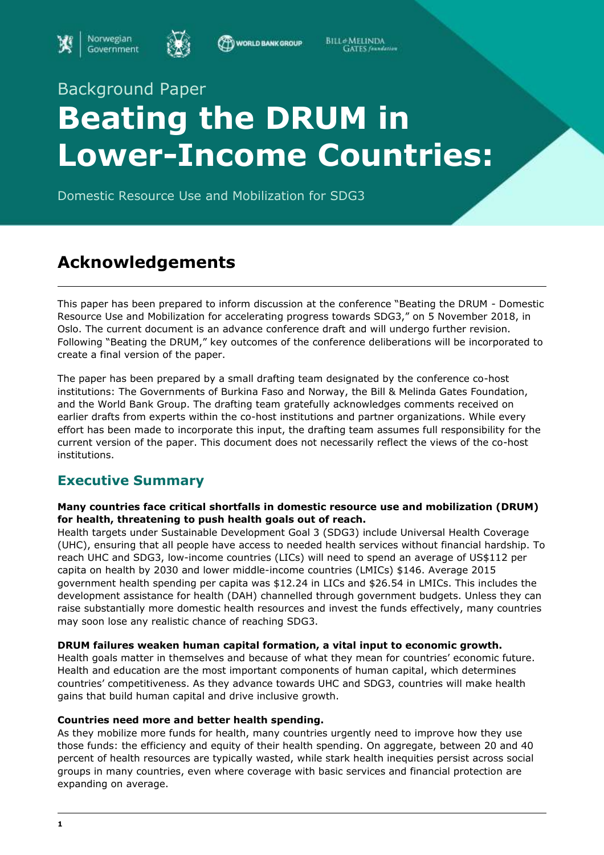



WORLD BANK GROUP

**BILL** MELINDA **GATES** faundation

# Background Paper **Beating the DRUM in Lower-Income Countries:**

Domestic Resource Use and Mobilization for SDG3

# **Acknowledgements**

This paper has been prepared to inform discussion at the conference "Beating the DRUM - Domestic Resource Use and Mobilization for accelerating progress towards SDG3," on 5 November 2018, in Oslo. The current document is an advance conference draft and will undergo further revision. Following "Beating the DRUM," key outcomes of the conference deliberations will be incorporated to create a final version of the paper.

The paper has been prepared by a small drafting team designated by the conference co-host institutions: The Governments of Burkina Faso and Norway, the Bill & Melinda Gates Foundation, and the World Bank Group. The drafting team gratefully acknowledges comments received on earlier drafts from experts within the co-host institutions and partner organizations. While every effort has been made to incorporate this input, the drafting team assumes full responsibility for the current version of the paper. This document does not necessarily reflect the views of the co-host institutions.

# **Executive Summary**

#### **Many countries face critical shortfalls in domestic resource use and mobilization (DRUM) for health, threatening to push health goals out of reach.**

Health targets under Sustainable Development Goal 3 (SDG3) include Universal Health Coverage (UHC), ensuring that all people have access to needed health services without financial hardship. To reach UHC and SDG3, low-income countries (LICs) will need to spend an average of US\$112 per capita on health by 2030 and lower middle-income countries (LMICs) \$146. Average 2015 government health spending per capita was \$12.24 in LICs and \$26.54 in LMICs. This includes the development assistance for health (DAH) channelled through government budgets. Unless they can raise substantially more domestic health resources and invest the funds effectively, many countries may soon lose any realistic chance of reaching SDG3.

#### **DRUM failures weaken human capital formation, a vital input to economic growth.**

Health goals matter in themselves and because of what they mean for countries' economic future. Health and education are the most important components of human capital, which determines countries' competitiveness. As they advance towards UHC and SDG3, countries will make health gains that build human capital and drive inclusive growth.

#### **Countries need more and better health spending.**

As they mobilize more funds for health, many countries urgently need to improve how they use those funds: the efficiency and equity of their health spending. On aggregate, between 20 and 40 percent of health resources are typically wasted, while stark health inequities persist across social groups in many countries, even where coverage with basic services and financial protection are expanding on average.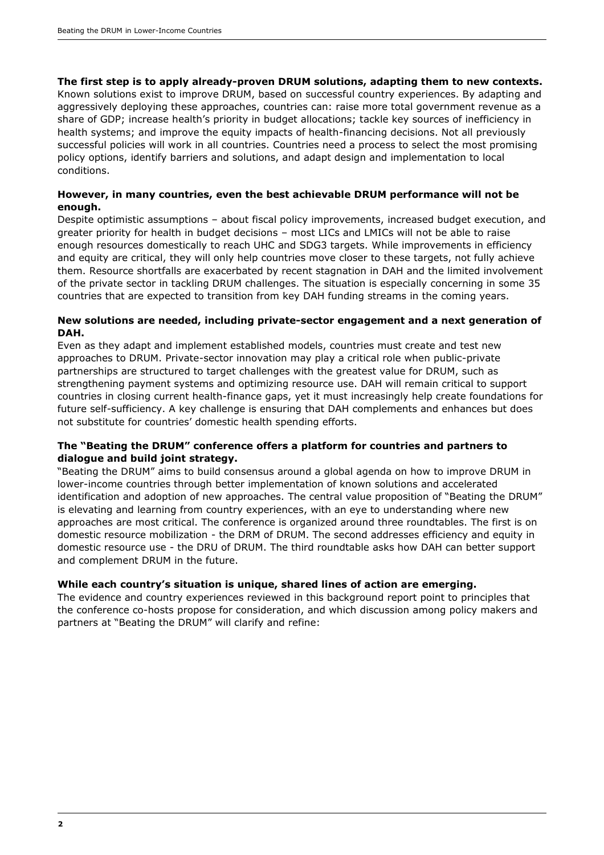#### **The first step is to apply already-proven DRUM solutions, adapting them to new contexts.**

Known solutions exist to improve DRUM, based on successful country experiences. By adapting and aggressively deploying these approaches, countries can: raise more total government revenue as a share of GDP; increase health's priority in budget allocations; tackle key sources of inefficiency in health systems; and improve the equity impacts of health-financing decisions. Not all previously successful policies will work in all countries. Countries need a process to select the most promising policy options, identify barriers and solutions, and adapt design and implementation to local conditions.

#### **However, in many countries, even the best achievable DRUM performance will not be enough.**

Despite optimistic assumptions – about fiscal policy improvements, increased budget execution, and greater priority for health in budget decisions – most LICs and LMICs will not be able to raise enough resources domestically to reach UHC and SDG3 targets. While improvements in efficiency and equity are critical, they will only help countries move closer to these targets, not fully achieve them. Resource shortfalls are exacerbated by recent stagnation in DAH and the limited involvement of the private sector in tackling DRUM challenges. The situation is especially concerning in some 35 countries that are expected to transition from key DAH funding streams in the coming years.

#### **New solutions are needed, including private-sector engagement and a next generation of DAH.**

Even as they adapt and implement established models, countries must create and test new approaches to DRUM. Private-sector innovation may play a critical role when public-private partnerships are structured to target challenges with the greatest value for DRUM, such as strengthening payment systems and optimizing resource use. DAH will remain critical to support countries in closing current health-finance gaps, yet it must increasingly help create foundations for future self-sufficiency. A key challenge is ensuring that DAH complements and enhances but does not substitute for countries' domestic health spending efforts.

#### **The "Beating the DRUM" conference offers a platform for countries and partners to dialogue and build joint strategy.**

"Beating the DRUM" aims to build consensus around a global agenda on how to improve DRUM in lower-income countries through better implementation of known solutions and accelerated identification and adoption of new approaches. The central value proposition of "Beating the DRUM" is elevating and learning from country experiences, with an eye to understanding where new approaches are most critical. The conference is organized around three roundtables. The first is on domestic resource mobilization - the DRM of DRUM. The second addresses efficiency and equity in domestic resource use - the DRU of DRUM. The third roundtable asks how DAH can better support and complement DRUM in the future.

#### **While each country's situation is unique, shared lines of action are emerging.**

The evidence and country experiences reviewed in this background report point to principles that the conference co-hosts propose for consideration, and which discussion among policy makers and partners at "Beating the DRUM" will clarify and refine: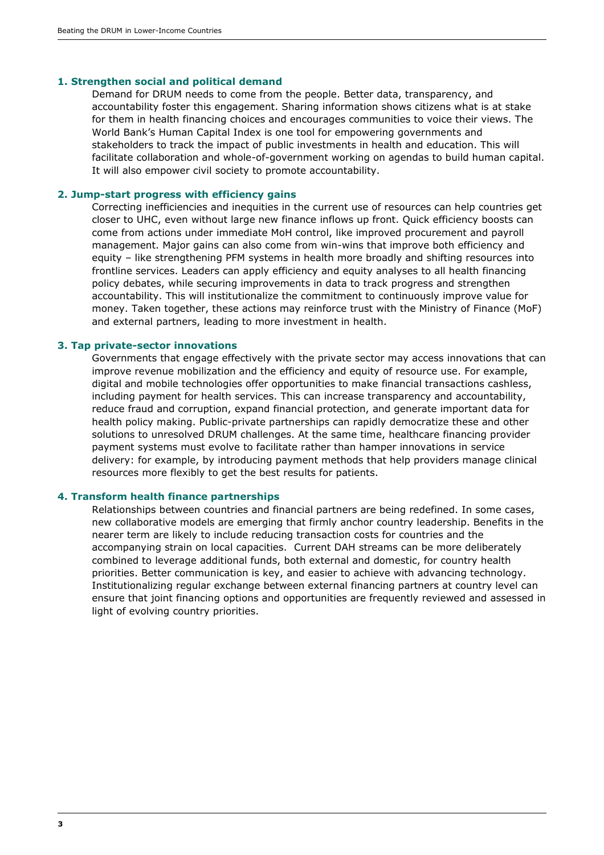#### **1. Strengthen social and political demand**

Demand for DRUM needs to come from the people. Better data, transparency, and accountability foster this engagement. Sharing information shows citizens what is at stake for them in health financing choices and encourages communities to voice their views. The World Bank's Human Capital Index is one tool for empowering governments and stakeholders to track the impact of public investments in health and education. This will facilitate collaboration and whole-of-government working on agendas to build human capital. It will also empower civil society to promote accountability.

#### **2. Jump-start progress with efficiency gains**

Correcting inefficiencies and inequities in the current use of resources can help countries get closer to UHC, even without large new finance inflows up front. Quick efficiency boosts can come from actions under immediate MoH control, like improved procurement and payroll management. Major gains can also come from win-wins that improve both efficiency and equity – like strengthening PFM systems in health more broadly and shifting resources into frontline services. Leaders can apply efficiency and equity analyses to all health financing policy debates, while securing improvements in data to track progress and strengthen accountability. This will institutionalize the commitment to continuously improve value for money. Taken together, these actions may reinforce trust with the Ministry of Finance (MoF) and external partners, leading to more investment in health.

#### **3. Tap private-sector innovations**

Governments that engage effectively with the private sector may access innovations that can improve revenue mobilization and the efficiency and equity of resource use. For example, digital and mobile technologies offer opportunities to make financial transactions cashless, including payment for health services. This can increase transparency and accountability, reduce fraud and corruption, expand financial protection, and generate important data for health policy making. Public-private partnerships can rapidly democratize these and other solutions to unresolved DRUM challenges. At the same time, healthcare financing provider payment systems must evolve to facilitate rather than hamper innovations in service delivery: for example, by introducing payment methods that help providers manage clinical resources more flexibly to get the best results for patients.

#### **4. Transform health finance partnerships**

Relationships between countries and financial partners are being redefined. In some cases, new collaborative models are emerging that firmly anchor country leadership. Benefits in the nearer term are likely to include reducing transaction costs for countries and the accompanying strain on local capacities. Current DAH streams can be more deliberately combined to leverage additional funds, both external and domestic, for country health priorities. Better communication is key, and easier to achieve with advancing technology. Institutionalizing regular exchange between external financing partners at country level can ensure that joint financing options and opportunities are frequently reviewed and assessed in light of evolving country priorities.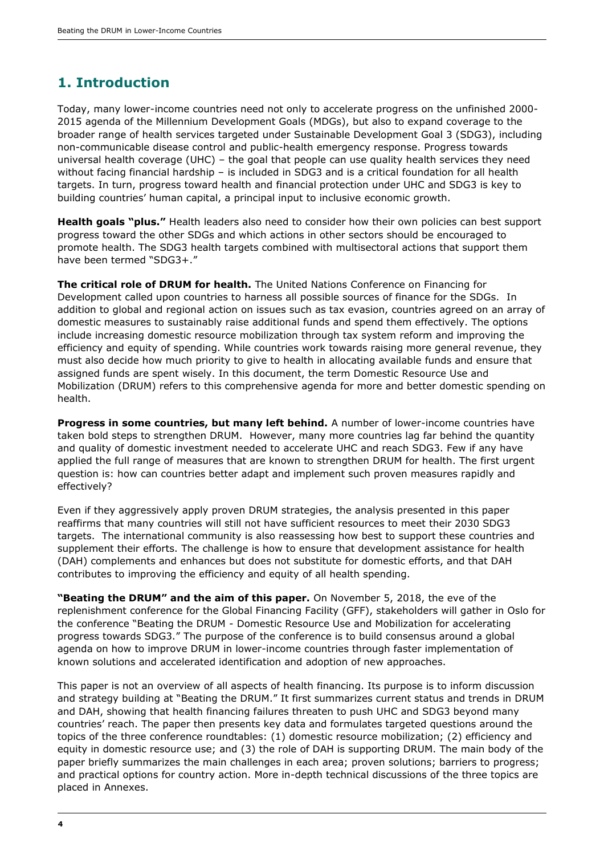# **1. Introduction**

Today, many lower-income countries need not only to accelerate progress on the unfinished 2000- 2015 agenda of the Millennium Development Goals (MDGs), but also to expand coverage to the broader range of health services targeted under Sustainable Development Goal 3 (SDG3), including non-communicable disease control and public-health emergency response. Progress towards universal health coverage (UHC) – the goal that people can use quality health services they need without facing financial hardship - is included in SDG3 and is a critical foundation for all health targets. In turn, progress toward health and financial protection under UHC and SDG3 is key to building countries' human capital, a principal input to inclusive economic growth.

**Health goals "plus."** Health leaders also need to consider how their own policies can best support progress toward the other SDGs and which actions in other sectors should be encouraged to promote health. The SDG3 health targets combined with multisectoral actions that support them have been termed "SDG3+."

**The critical role of DRUM for health.** The United Nations Conference on Financing for Development called upon countries to harness all possible sources of finance for the SDGs. In addition to global and regional action on issues such as tax evasion, countries agreed on an array of domestic measures to sustainably raise additional funds and spend them effectively. The options include increasing domestic resource mobilization through tax system reform and improving the efficiency and equity of spending. While countries work towards raising more general revenue, they must also decide how much priority to give to health in allocating available funds and ensure that assigned funds are spent wisely. In this document, the term Domestic Resource Use and Mobilization (DRUM) refers to this comprehensive agenda for more and better domestic spending on health.

**Progress in some countries, but many left behind.** A number of lower-income countries have taken bold steps to strengthen DRUM. However, many more countries lag far behind the quantity and quality of domestic investment needed to accelerate UHC and reach SDG3. Few if any have applied the full range of measures that are known to strengthen DRUM for health. The first urgent question is: how can countries better adapt and implement such proven measures rapidly and effectively?

Even if they aggressively apply proven DRUM strategies, the analysis presented in this paper reaffirms that many countries will still not have sufficient resources to meet their 2030 SDG3 targets. The international community is also reassessing how best to support these countries and supplement their efforts. The challenge is how to ensure that development assistance for health (DAH) complements and enhances but does not substitute for domestic efforts, and that DAH contributes to improving the efficiency and equity of all health spending.

**"Beating the DRUM" and the aim of this paper.** On November 5, 2018, the eve of the replenishment conference for the Global Financing Facility (GFF), stakeholders will gather in Oslo for the conference "Beating the DRUM - Domestic Resource Use and Mobilization for accelerating progress towards SDG3." The purpose of the conference is to build consensus around a global agenda on how to improve DRUM in lower-income countries through faster implementation of known solutions and accelerated identification and adoption of new approaches.

This paper is not an overview of all aspects of health financing. Its purpose is to inform discussion and strategy building at "Beating the DRUM." It first summarizes current status and trends in DRUM and DAH, showing that health financing failures threaten to push UHC and SDG3 beyond many countries' reach. The paper then presents key data and formulates targeted questions around the topics of the three conference roundtables: (1) domestic resource mobilization; (2) efficiency and equity in domestic resource use; and (3) the role of DAH is supporting DRUM. The main body of the paper briefly summarizes the main challenges in each area; proven solutions; barriers to progress; and practical options for country action. More in-depth technical discussions of the three topics are placed in Annexes.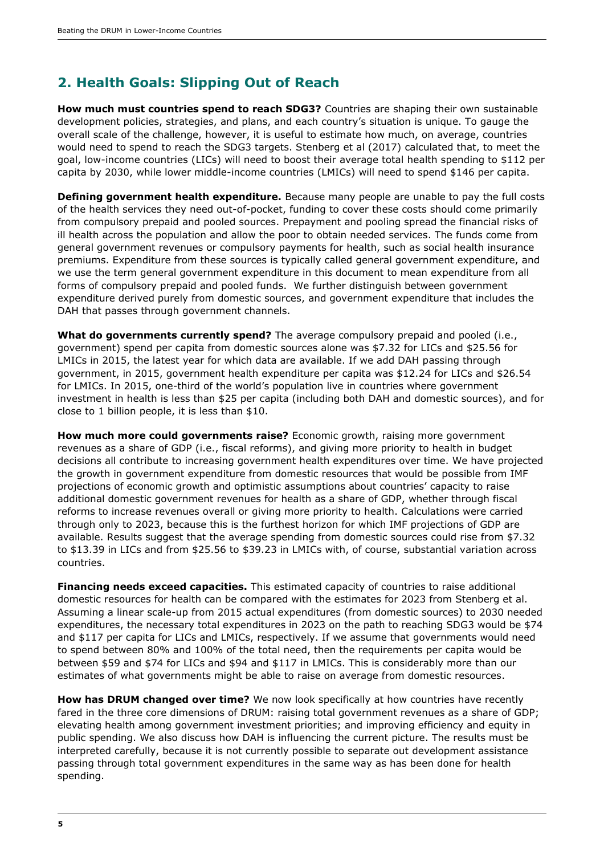# **2. Health Goals: Slipping Out of Reach**

**How much must countries spend to reach SDG3?** Countries are shaping their own sustainable development policies, strategies, and plans, and each country's situation is unique. To gauge the overall scale of the challenge, however, it is useful to estimate how much, on average, countries would need to spend to reach the SDG3 targets. Stenberg et al (2017) calculated that, to meet the goal, low-income countries (LICs) will need to boost their average total health spending to \$112 per capita by 2030, while lower middle-income countries (LMICs) will need to spend \$146 per capita.

**Defining government health expenditure.** Because many people are unable to pay the full costs of the health services they need out-of-pocket, funding to cover these costs should come primarily from compulsory prepaid and pooled sources. Prepayment and pooling spread the financial risks of ill health across the population and allow the poor to obtain needed services. The funds come from general government revenues or compulsory payments for health, such as social health insurance premiums. Expenditure from these sources is typically called general government expenditure, and we use the term general government expenditure in this document to mean expenditure from all forms of compulsory prepaid and pooled funds. We further distinguish between government expenditure derived purely from domestic sources, and government expenditure that includes the DAH that passes through government channels.

**What do governments currently spend?** The average compulsory prepaid and pooled (i.e., government) spend per capita from domestic sources alone was \$7.32 for LICs and \$25.56 for LMICs in 2015, the latest year for which data are available. If we add DAH passing through government, in 2015, government health expenditure per capita was \$12.24 for LICs and \$26.54 for LMICs. In 2015, one-third of the world's population live in countries where government investment in health is less than \$25 per capita (including both DAH and domestic sources), and for close to 1 billion people, it is less than \$10.

**How much more could governments raise?** Economic growth, raising more government revenues as a share of GDP (i.e., fiscal reforms), and giving more priority to health in budget decisions all contribute to increasing government health expenditures over time. We have projected the growth in government expenditure from domestic resources that would be possible from IMF projections of economic growth and optimistic assumptions about countries' capacity to raise additional domestic government revenues for health as a share of GDP, whether through fiscal reforms to increase revenues overall or giving more priority to health. Calculations were carried through only to 2023, because this is the furthest horizon for which IMF projections of GDP are available. Results suggest that the average spending from domestic sources could rise from \$7.32 to \$13.39 in LICs and from \$25.56 to \$39.23 in LMICs with, of course, substantial variation across countries.

**Financing needs exceed capacities.** This estimated capacity of countries to raise additional domestic resources for health can be compared with the estimates for 2023 from Stenberg et al. Assuming a linear scale-up from 2015 actual expenditures (from domestic sources) to 2030 needed expenditures, the necessary total expenditures in 2023 on the path to reaching SDG3 would be \$74 and \$117 per capita for LICs and LMICs, respectively. If we assume that governments would need to spend between 80% and 100% of the total need, then the requirements per capita would be between \$59 and \$74 for LICs and \$94 and \$117 in LMICs. This is considerably more than our estimates of what governments might be able to raise on average from domestic resources.

**How has DRUM changed over time?** We now look specifically at how countries have recently fared in the three core dimensions of DRUM: raising total government revenues as a share of GDP; elevating health among government investment priorities; and improving efficiency and equity in public spending. We also discuss how DAH is influencing the current picture. The results must be interpreted carefully, because it is not currently possible to separate out development assistance passing through total government expenditures in the same way as has been done for health spending.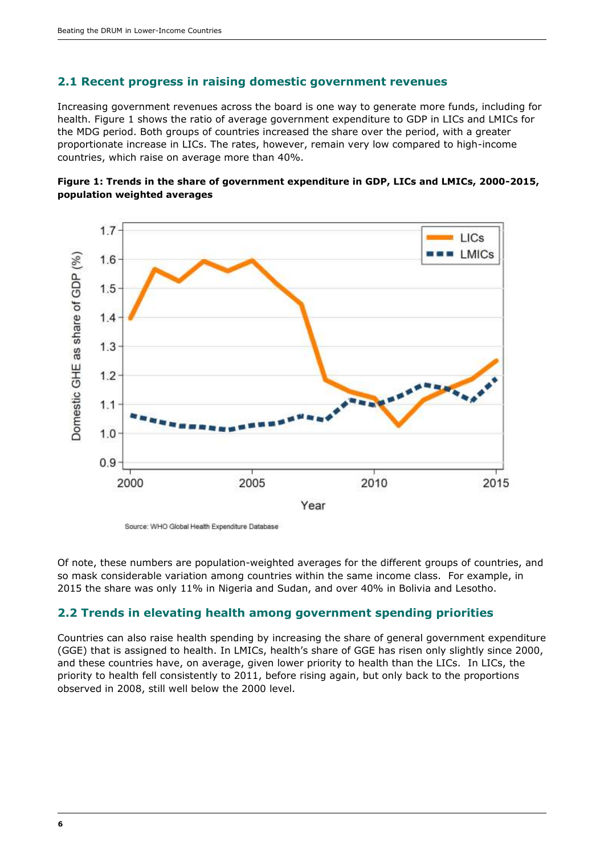#### **2.1 Recent progress in raising domestic government revenues**

Increasing government revenues across the board is one way to generate more funds, including for health. Figure 1 shows the ratio of average government expenditure to GDP in LICs and LMICs for the MDG period. Both groups of countries increased the share over the period, with a greater proportionate increase in LICs. The rates, however, remain very low compared to high-income countries, which raise on average more than 40%.





Source: WHO Global Health Expenditure Database

Of note, these numbers are population-weighted averages for the different groups of countries, and so mask considerable variation among countries within the same income class. For example, in 2015 the share was only 11% in Nigeria and Sudan, and over 40% in Bolivia and Lesotho.

#### **2.2 Trends in elevating health among government spending priorities**

Countries can also raise health spending by increasing the share of general government expenditure (GGE) that is assigned to health. In LMICs, health's share of GGE has risen only slightly since 2000, and these countries have, on average, given lower priority to health than the LICs. In LICs, the priority to health fell consistently to 2011, before rising again, but only back to the proportions observed in 2008, still well below the 2000 level.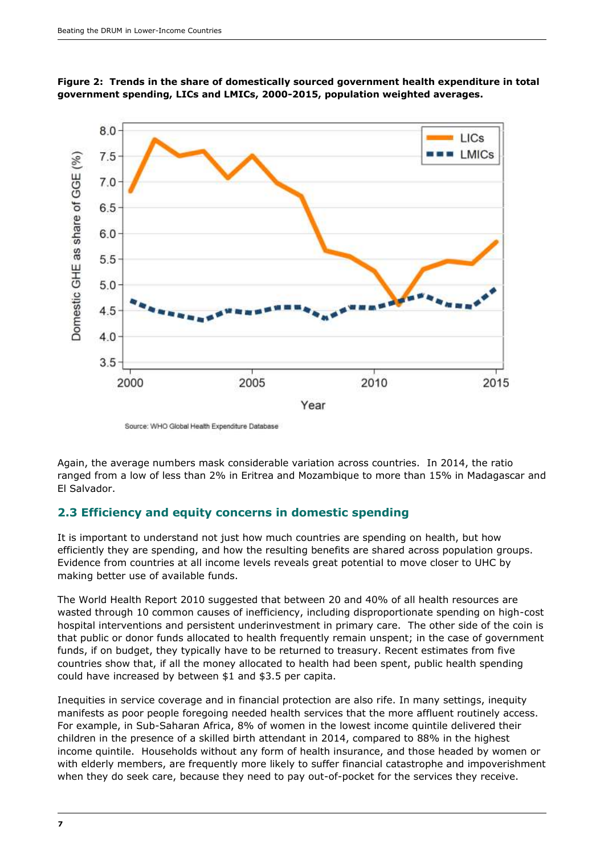

**Figure 2: Trends in the share of domestically sourced government health expenditure in total government spending, LICs and LMICs, 2000-2015, population weighted averages.**

Source: WHO Global Health Expenditure Database

Again, the average numbers mask considerable variation across countries. In 2014, the ratio ranged from a low of less than 2% in Eritrea and Mozambique to more than 15% in Madagascar and El Salvador.

#### **2.3 Efficiency and equity concerns in domestic spending**

It is important to understand not just how much countries are spending on health, but how efficiently they are spending, and how the resulting benefits are shared across population groups. Evidence from countries at all income levels reveals great potential to move closer to UHC by making better use of available funds.

The World Health Report 2010 suggested that between 20 and 40% of all health resources are wasted through 10 common causes of inefficiency, including disproportionate spending on high-cost hospital interventions and persistent underinvestment in primary care. The other side of the coin is that public or donor funds allocated to health frequently remain unspent; in the case of government funds, if on budget, they typically have to be returned to treasury. Recent estimates from five countries show that, if all the money allocated to health had been spent, public health spending could have increased by between \$1 and \$3.5 per capita.

Inequities in service coverage and in financial protection are also rife. In many settings, inequity manifests as poor people foregoing needed health services that the more affluent routinely access. For example, in Sub-Saharan Africa, 8% of women in the lowest income quintile delivered their children in the presence of a skilled birth attendant in 2014, compared to 88% in the highest income quintile. Households without any form of health insurance, and those headed by women or with elderly members, are frequently more likely to suffer financial catastrophe and impoverishment when they do seek care, because they need to pay out-of-pocket for the services they receive.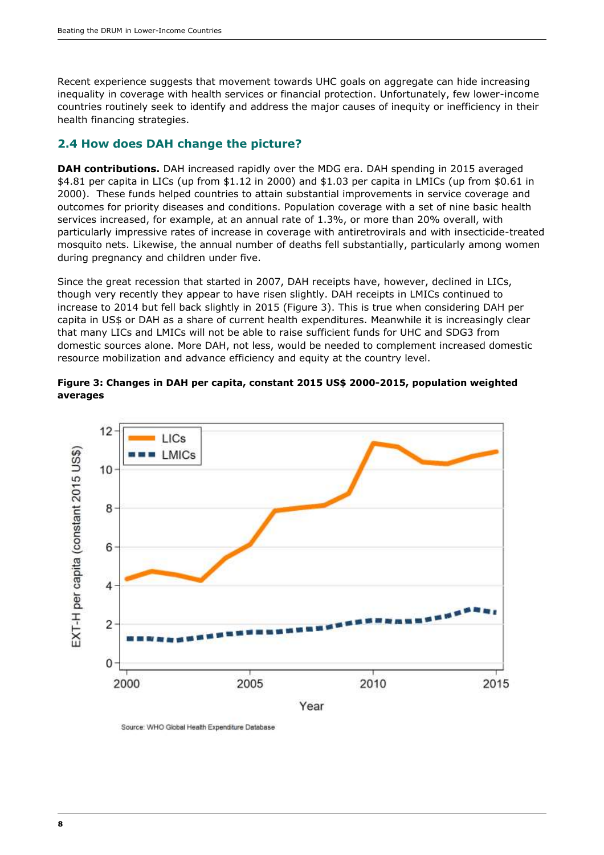Recent experience suggests that movement towards UHC goals on aggregate can hide increasing inequality in coverage with health services or financial protection. Unfortunately, few lower-income countries routinely seek to identify and address the major causes of inequity or inefficiency in their health financing strategies.

#### **2.4 How does DAH change the picture?**

**DAH contributions.** DAH increased rapidly over the MDG era. DAH spending in 2015 averaged \$4.81 per capita in LICs (up from \$1.12 in 2000) and \$1.03 per capita in LMICs (up from \$0.61 in 2000). These funds helped countries to attain substantial improvements in service coverage and outcomes for priority diseases and conditions. Population coverage with a set of nine basic health services increased, for example, at an annual rate of 1.3%, or more than 20% overall, with particularly impressive rates of increase in coverage with antiretrovirals and with insecticide-treated mosquito nets. Likewise, the annual number of deaths fell substantially, particularly among women during pregnancy and children under five.

Since the great recession that started in 2007, DAH receipts have, however, declined in LICs, though very recently they appear to have risen slightly. DAH receipts in LMICs continued to increase to 2014 but fell back slightly in 2015 (Figure 3). This is true when considering DAH per capita in US\$ or DAH as a share of current health expenditures. Meanwhile it is increasingly clear that many LICs and LMICs will not be able to raise sufficient funds for UHC and SDG3 from domestic sources alone. More DAH, not less, would be needed to complement increased domestic resource mobilization and advance efficiency and equity at the country level.

#### **Figure 3: Changes in DAH per capita, constant 2015 US\$ 2000-2015, population weighted averages**



Source: WHO Global Health Expenditure Database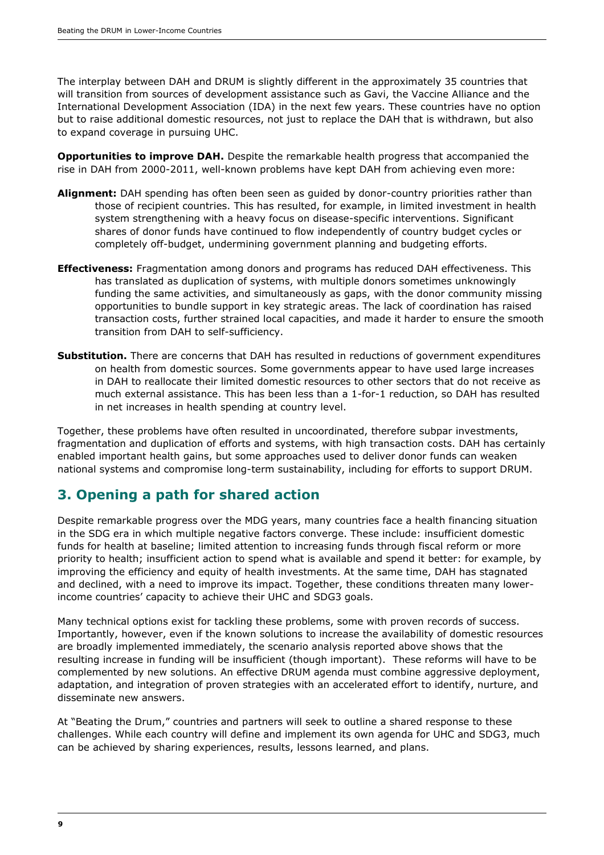The interplay between DAH and DRUM is slightly different in the approximately 35 countries that will transition from sources of development assistance such as Gavi, the Vaccine Alliance and the International Development Association (IDA) in the next few years. These countries have no option but to raise additional domestic resources, not just to replace the DAH that is withdrawn, but also to expand coverage in pursuing UHC.

**Opportunities to improve DAH.** Despite the remarkable health progress that accompanied the rise in DAH from 2000-2011, well-known problems have kept DAH from achieving even more:

- **Alignment:** DAH spending has often been seen as guided by donor-country priorities rather than those of recipient countries. This has resulted, for example, in limited investment in health system strengthening with a heavy focus on disease-specific interventions. Significant shares of donor funds have continued to flow independently of country budget cycles or completely off-budget, undermining government planning and budgeting efforts.
- **Effectiveness:** Fragmentation among donors and programs has reduced DAH effectiveness. This has translated as duplication of systems, with multiple donors sometimes unknowingly funding the same activities, and simultaneously as gaps, with the donor community missing opportunities to bundle support in key strategic areas. The lack of coordination has raised transaction costs, further strained local capacities, and made it harder to ensure the smooth transition from DAH to self-sufficiency.
- **Substitution.** There are concerns that DAH has resulted in reductions of government expenditures on health from domestic sources. Some governments appear to have used large increases in DAH to reallocate their limited domestic resources to other sectors that do not receive as much external assistance. This has been less than a 1-for-1 reduction, so DAH has resulted in net increases in health spending at country level.

Together, these problems have often resulted in uncoordinated, therefore subpar investments, fragmentation and duplication of efforts and systems, with high transaction costs. DAH has certainly enabled important health gains, but some approaches used to deliver donor funds can weaken national systems and compromise long-term sustainability, including for efforts to support DRUM.

## **3. Opening a path for shared action**

Despite remarkable progress over the MDG years, many countries face a health financing situation in the SDG era in which multiple negative factors converge. These include: insufficient domestic funds for health at baseline; limited attention to increasing funds through fiscal reform or more priority to health; insufficient action to spend what is available and spend it better: for example, by improving the efficiency and equity of health investments. At the same time, DAH has stagnated and declined, with a need to improve its impact. Together, these conditions threaten many lowerincome countries' capacity to achieve their UHC and SDG3 goals.

Many technical options exist for tackling these problems, some with proven records of success. Importantly, however, even if the known solutions to increase the availability of domestic resources are broadly implemented immediately, the scenario analysis reported above shows that the resulting increase in funding will be insufficient (though important). These reforms will have to be complemented by new solutions. An effective DRUM agenda must combine aggressive deployment, adaptation, and integration of proven strategies with an accelerated effort to identify, nurture, and disseminate new answers.

At "Beating the Drum," countries and partners will seek to outline a shared response to these challenges. While each country will define and implement its own agenda for UHC and SDG3, much can be achieved by sharing experiences, results, lessons learned, and plans.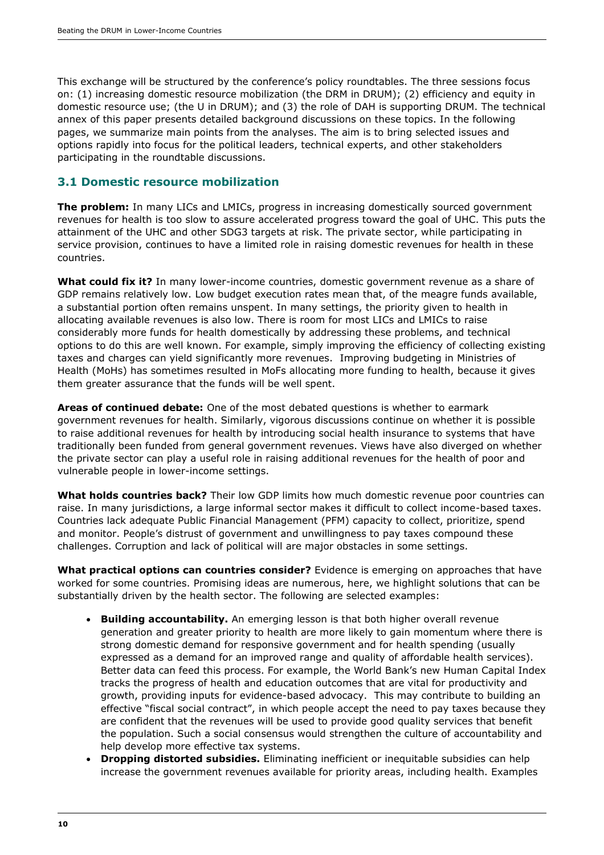This exchange will be structured by the conference's policy roundtables. The three sessions focus on: (1) increasing domestic resource mobilization (the DRM in DRUM); (2) efficiency and equity in domestic resource use; (the U in DRUM); and (3) the role of DAH is supporting DRUM. The technical annex of this paper presents detailed background discussions on these topics. In the following pages, we summarize main points from the analyses. The aim is to bring selected issues and options rapidly into focus for the political leaders, technical experts, and other stakeholders participating in the roundtable discussions.

#### **3.1 Domestic resource mobilization**

**The problem:** In many LICs and LMICs, progress in increasing domestically sourced government revenues for health is too slow to assure accelerated progress toward the goal of UHC. This puts the attainment of the UHC and other SDG3 targets at risk. The private sector, while participating in service provision, continues to have a limited role in raising domestic revenues for health in these countries.

**What could fix it?** In many lower-income countries, domestic government revenue as a share of GDP remains relatively low. Low budget execution rates mean that, of the meagre funds available, a substantial portion often remains unspent. In many settings, the priority given to health in allocating available revenues is also low. There is room for most LICs and LMICs to raise considerably more funds for health domestically by addressing these problems, and technical options to do this are well known. For example, simply improving the efficiency of collecting existing taxes and charges can yield significantly more revenues. Improving budgeting in Ministries of Health (MoHs) has sometimes resulted in MoFs allocating more funding to health, because it gives them greater assurance that the funds will be well spent.

**Areas of continued debate:** One of the most debated questions is whether to earmark government revenues for health. Similarly, vigorous discussions continue on whether it is possible to raise additional revenues for health by introducing social health insurance to systems that have traditionally been funded from general government revenues. Views have also diverged on whether the private sector can play a useful role in raising additional revenues for the health of poor and vulnerable people in lower-income settings.

**What holds countries back?** Their low GDP limits how much domestic revenue poor countries can raise. In many jurisdictions, a large informal sector makes it difficult to collect income-based taxes. Countries lack adequate Public Financial Management (PFM) capacity to collect, prioritize, spend and monitor. People's distrust of government and unwillingness to pay taxes compound these challenges. Corruption and lack of political will are major obstacles in some settings.

**What practical options can countries consider?** Evidence is emerging on approaches that have worked for some countries. Promising ideas are numerous, here, we highlight solutions that can be substantially driven by the health sector. The following are selected examples:

- **Building accountability.** An emerging lesson is that both higher overall revenue generation and greater priority to health are more likely to gain momentum where there is strong domestic demand for responsive government and for health spending (usually expressed as a demand for an improved range and quality of affordable health services). Better data can feed this process. For example, the World Bank's new Human Capital Index tracks the progress of health and education outcomes that are vital for productivity and growth, providing inputs for evidence-based advocacy. This may contribute to building an effective "fiscal social contract", in which people accept the need to pay taxes because they are confident that the revenues will be used to provide good quality services that benefit the population. Such a social consensus would strengthen the culture of accountability and help develop more effective tax systems.
- **Dropping distorted subsidies.** Eliminating inefficient or inequitable subsidies can help increase the government revenues available for priority areas, including health. Examples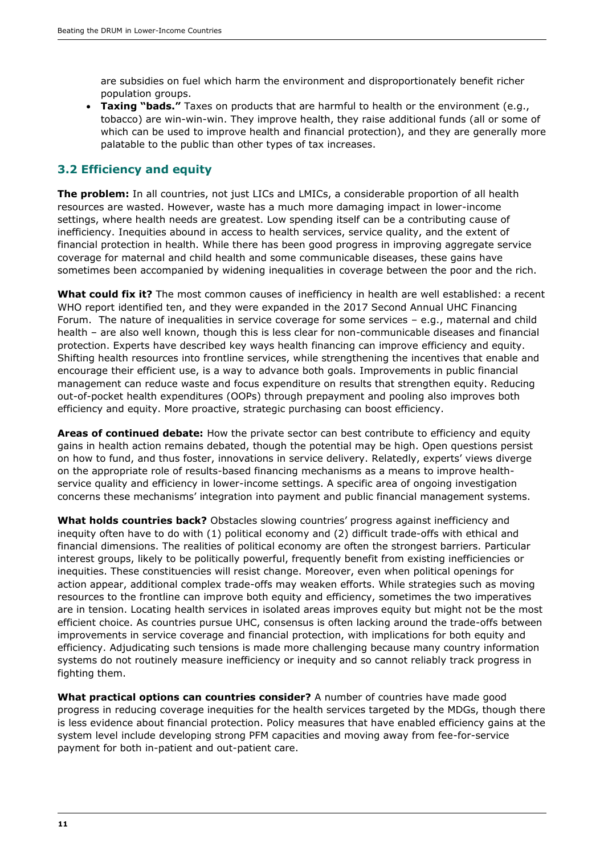are subsidies on fuel which harm the environment and disproportionately benefit richer population groups.

**Taxing "bads."** Taxes on products that are harmful to health or the environment (e.g., tobacco) are win-win-win. They improve health, they raise additional funds (all or some of which can be used to improve health and financial protection), and they are generally more palatable to the public than other types of tax increases.

### **3.2 Efficiency and equity**

**The problem:** In all countries, not just LICs and LMICs, a considerable proportion of all health resources are wasted. However, waste has a much more damaging impact in lower-income settings, where health needs are greatest. Low spending itself can be a contributing cause of inefficiency. Inequities abound in access to health services, service quality, and the extent of financial protection in health. While there has been good progress in improving aggregate service coverage for maternal and child health and some communicable diseases, these gains have sometimes been accompanied by widening inequalities in coverage between the poor and the rich.

**What could fix it?** The most common causes of inefficiency in health are well established: a recent WHO report identified ten, and they were expanded in the 2017 Second Annual UHC Financing Forum. The nature of inequalities in service coverage for some services – e.g., maternal and child health – are also well known, though this is less clear for non-communicable diseases and financial protection. Experts have described key ways health financing can improve efficiency and equity. Shifting health resources into frontline services, while strengthening the incentives that enable and encourage their efficient use, is a way to advance both goals. Improvements in public financial management can reduce waste and focus expenditure on results that strengthen equity. Reducing out-of-pocket health expenditures (OOPs) through prepayment and pooling also improves both efficiency and equity. More proactive, strategic purchasing can boost efficiency.

**Areas of continued debate:** How the private sector can best contribute to efficiency and equity gains in health action remains debated, though the potential may be high. Open questions persist on how to fund, and thus foster, innovations in service delivery. Relatedly, experts' views diverge on the appropriate role of results-based financing mechanisms as a means to improve healthservice quality and efficiency in lower-income settings. A specific area of ongoing investigation concerns these mechanisms' integration into payment and public financial management systems.

**What holds countries back?** Obstacles slowing countries' progress against inefficiency and inequity often have to do with (1) political economy and (2) difficult trade-offs with ethical and financial dimensions. The realities of political economy are often the strongest barriers. Particular interest groups, likely to be politically powerful, frequently benefit from existing inefficiencies or inequities. These constituencies will resist change. Moreover, even when political openings for action appear, additional complex trade-offs may weaken efforts. While strategies such as moving resources to the frontline can improve both equity and efficiency, sometimes the two imperatives are in tension. Locating health services in isolated areas improves equity but might not be the most efficient choice. As countries pursue UHC, consensus is often lacking around the trade-offs between improvements in service coverage and financial protection, with implications for both equity and efficiency. Adjudicating such tensions is made more challenging because many country information systems do not routinely measure inefficiency or inequity and so cannot reliably track progress in fighting them.

**What practical options can countries consider?** A number of countries have made good progress in reducing coverage inequities for the health services targeted by the MDGs, though there is less evidence about financial protection. Policy measures that have enabled efficiency gains at the system level include developing strong PFM capacities and moving away from fee-for-service payment for both in-patient and out-patient care.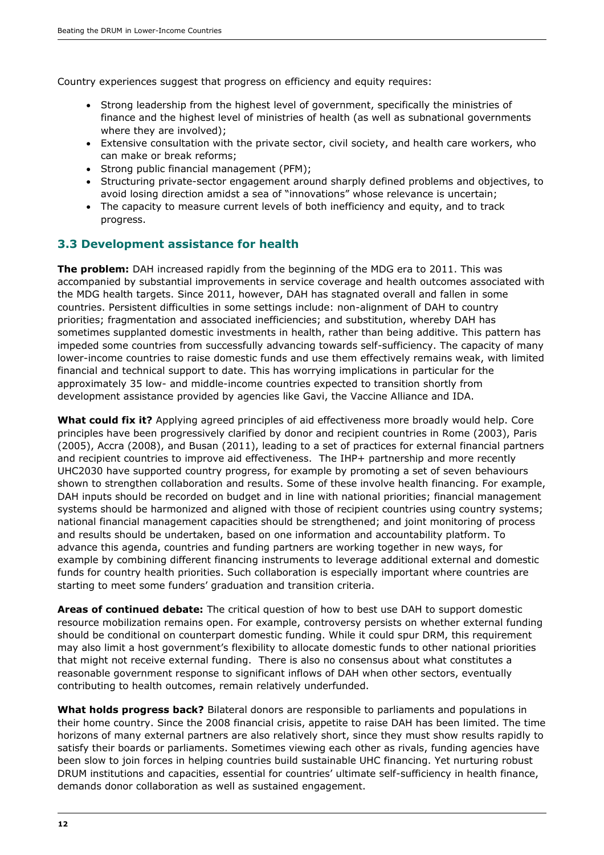Country experiences suggest that progress on efficiency and equity requires:

- Strong leadership from the highest level of government, specifically the ministries of finance and the highest level of ministries of health (as well as subnational governments where they are involved);
- Extensive consultation with the private sector, civil society, and health care workers, who can make or break reforms;
- Strong public financial management (PFM);
- Structuring private-sector engagement around sharply defined problems and objectives, to avoid losing direction amidst a sea of "innovations" whose relevance is uncertain;
- The capacity to measure current levels of both inefficiency and equity, and to track progress.

#### **3.3 Development assistance for health**

**The problem:** DAH increased rapidly from the beginning of the MDG era to 2011. This was accompanied by substantial improvements in service coverage and health outcomes associated with the MDG health targets. Since 2011, however, DAH has stagnated overall and fallen in some countries. Persistent difficulties in some settings include: non-alignment of DAH to country priorities; fragmentation and associated inefficiencies; and substitution, whereby DAH has sometimes supplanted domestic investments in health, rather than being additive. This pattern has impeded some countries from successfully advancing towards self-sufficiency. The capacity of many lower-income countries to raise domestic funds and use them effectively remains weak, with limited financial and technical support to date. This has worrying implications in particular for the approximately 35 low- and middle-income countries expected to transition shortly from development assistance provided by agencies like Gavi, the Vaccine Alliance and IDA.

**What could fix it?** Applying agreed principles of aid effectiveness more broadly would help. Core principles have been progressively clarified by donor and recipient countries in Rome (2003), Paris (2005), Accra (2008), and Busan (2011), leading to a set of practices for external financial partners and recipient countries to improve aid effectiveness. The IHP+ partnership and more recently UHC2030 have supported country progress, for example by promoting a set of seven behaviours shown to strengthen collaboration and results. Some of these involve health financing. For example, DAH inputs should be recorded on budget and in line with national priorities; financial management systems should be harmonized and aligned with those of recipient countries using country systems; national financial management capacities should be strengthened; and joint monitoring of process and results should be undertaken, based on one information and accountability platform. To advance this agenda, countries and funding partners are working together in new ways, for example by combining different financing instruments to leverage additional external and domestic funds for country health priorities. Such collaboration is especially important where countries are starting to meet some funders' graduation and transition criteria.

**Areas of continued debate:** The critical question of how to best use DAH to support domestic resource mobilization remains open. For example, controversy persists on whether external funding should be conditional on counterpart domestic funding. While it could spur DRM, this requirement may also limit a host government's flexibility to allocate domestic funds to other national priorities that might not receive external funding. There is also no consensus about what constitutes a reasonable government response to significant inflows of DAH when other sectors, eventually contributing to health outcomes, remain relatively underfunded.

**What holds progress back?** Bilateral donors are responsible to parliaments and populations in their home country. Since the 2008 financial crisis, appetite to raise DAH has been limited. The time horizons of many external partners are also relatively short, since they must show results rapidly to satisfy their boards or parliaments. Sometimes viewing each other as rivals, funding agencies have been slow to join forces in helping countries build sustainable UHC financing. Yet nurturing robust DRUM institutions and capacities, essential for countries' ultimate self-sufficiency in health finance, demands donor collaboration as well as sustained engagement.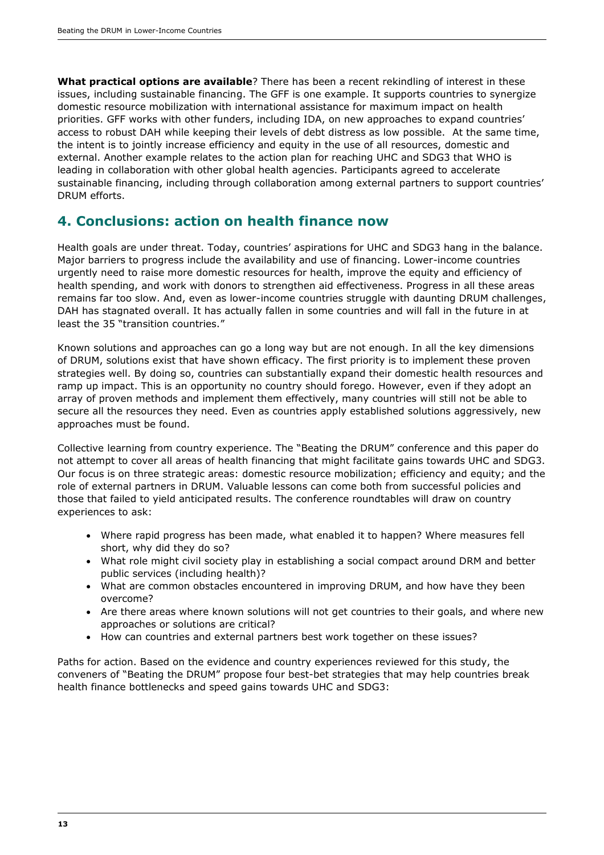**What practical options are available**? There has been a recent rekindling of interest in these issues, including sustainable financing. The GFF is one example. It supports countries to synergize domestic resource mobilization with international assistance for maximum impact on health priorities. GFF works with other funders, including IDA, on new approaches to expand countries' access to robust DAH while keeping their levels of debt distress as low possible. At the same time, the intent is to jointly increase efficiency and equity in the use of all resources, domestic and external. Another example relates to the action plan for reaching UHC and SDG3 that WHO is leading in collaboration with other global health agencies. Participants agreed to accelerate sustainable financing, including through collaboration among external partners to support countries' DRUM efforts.

# **4. Conclusions: action on health finance now**

Health goals are under threat. Today, countries' aspirations for UHC and SDG3 hang in the balance. Major barriers to progress include the availability and use of financing. Lower-income countries urgently need to raise more domestic resources for health, improve the equity and efficiency of health spending, and work with donors to strengthen aid effectiveness. Progress in all these areas remains far too slow. And, even as lower-income countries struggle with daunting DRUM challenges, DAH has stagnated overall. It has actually fallen in some countries and will fall in the future in at least the 35 "transition countries."

Known solutions and approaches can go a long way but are not enough. In all the key dimensions of DRUM, solutions exist that have shown efficacy. The first priority is to implement these proven strategies well. By doing so, countries can substantially expand their domestic health resources and ramp up impact. This is an opportunity no country should forego. However, even if they adopt an array of proven methods and implement them effectively, many countries will still not be able to secure all the resources they need. Even as countries apply established solutions aggressively, new approaches must be found.

Collective learning from country experience. The "Beating the DRUM" conference and this paper do not attempt to cover all areas of health financing that might facilitate gains towards UHC and SDG3. Our focus is on three strategic areas: domestic resource mobilization; efficiency and equity; and the role of external partners in DRUM. Valuable lessons can come both from successful policies and those that failed to yield anticipated results. The conference roundtables will draw on country experiences to ask:

- Where rapid progress has been made, what enabled it to happen? Where measures fell short, why did they do so?
- What role might civil society play in establishing a social compact around DRM and better public services (including health)?
- What are common obstacles encountered in improving DRUM, and how have they been overcome?
- Are there areas where known solutions will not get countries to their goals, and where new approaches or solutions are critical?
- How can countries and external partners best work together on these issues?

Paths for action. Based on the evidence and country experiences reviewed for this study, the conveners of "Beating the DRUM" propose four best-bet strategies that may help countries break health finance bottlenecks and speed gains towards UHC and SDG3: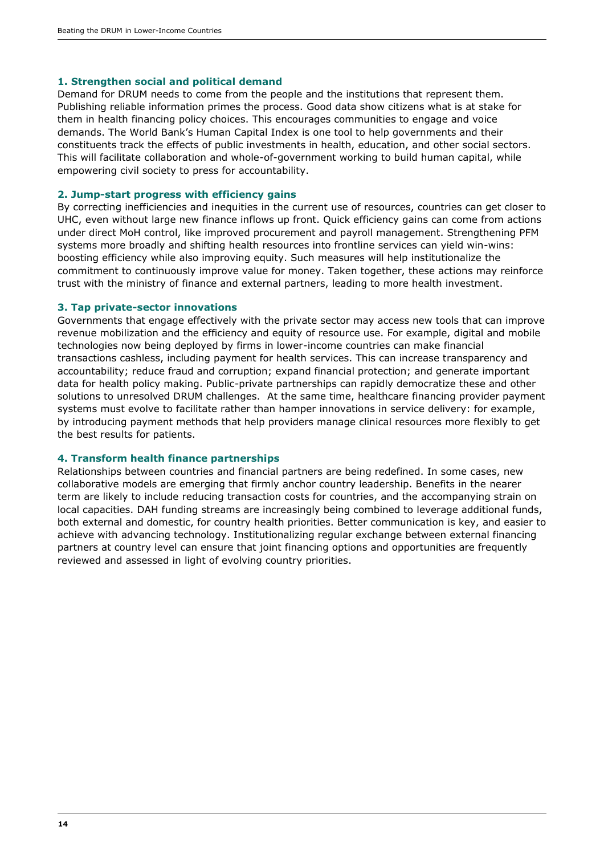#### **1. Strengthen social and political demand**

Demand for DRUM needs to come from the people and the institutions that represent them. Publishing reliable information primes the process. Good data show citizens what is at stake for them in health financing policy choices. This encourages communities to engage and voice demands. The World Bank's Human Capital Index is one tool to help governments and their constituents track the effects of public investments in health, education, and other social sectors. This will facilitate collaboration and whole-of-government working to build human capital, while empowering civil society to press for accountability.

#### **2. Jump-start progress with efficiency gains**

By correcting inefficiencies and inequities in the current use of resources, countries can get closer to UHC, even without large new finance inflows up front. Quick efficiency gains can come from actions under direct MoH control, like improved procurement and payroll management. Strengthening PFM systems more broadly and shifting health resources into frontline services can yield win-wins: boosting efficiency while also improving equity. Such measures will help institutionalize the commitment to continuously improve value for money. Taken together, these actions may reinforce trust with the ministry of finance and external partners, leading to more health investment.

#### **3. Tap private-sector innovations**

Governments that engage effectively with the private sector may access new tools that can improve revenue mobilization and the efficiency and equity of resource use. For example, digital and mobile technologies now being deployed by firms in lower-income countries can make financial transactions cashless, including payment for health services. This can increase transparency and accountability; reduce fraud and corruption; expand financial protection; and generate important data for health policy making. Public-private partnerships can rapidly democratize these and other solutions to unresolved DRUM challenges. At the same time, healthcare financing provider payment systems must evolve to facilitate rather than hamper innovations in service delivery: for example, by introducing payment methods that help providers manage clinical resources more flexibly to get the best results for patients.

#### **4. Transform health finance partnerships**

Relationships between countries and financial partners are being redefined. In some cases, new collaborative models are emerging that firmly anchor country leadership. Benefits in the nearer term are likely to include reducing transaction costs for countries, and the accompanying strain on local capacities. DAH funding streams are increasingly being combined to leverage additional funds, both external and domestic, for country health priorities. Better communication is key, and easier to achieve with advancing technology. Institutionalizing regular exchange between external financing partners at country level can ensure that joint financing options and opportunities are frequently reviewed and assessed in light of evolving country priorities.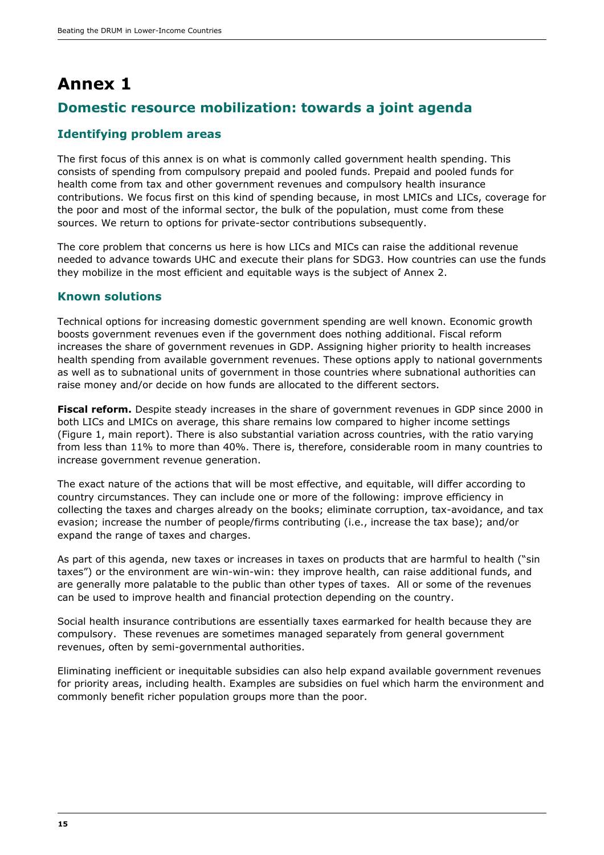# **Annex 1 Domestic resource mobilization: towards a joint agenda**

#### **Identifying problem areas**

The first focus of this annex is on what is commonly called government health spending. This consists of spending from compulsory prepaid and pooled funds. Prepaid and pooled funds for health come from tax and other government revenues and compulsory health insurance contributions. We focus first on this kind of spending because, in most LMICs and LICs, coverage for the poor and most of the informal sector, the bulk of the population, must come from these sources. We return to options for private-sector contributions subsequently.

The core problem that concerns us here is how LICs and MICs can raise the additional revenue needed to advance towards UHC and execute their plans for SDG3. How countries can use the funds they mobilize in the most efficient and equitable ways is the subject of Annex 2.

#### **Known solutions**

Technical options for increasing domestic government spending are well known. Economic growth boosts government revenues even if the government does nothing additional. Fiscal reform increases the share of government revenues in GDP. Assigning higher priority to health increases health spending from available government revenues. These options apply to national governments as well as to subnational units of government in those countries where subnational authorities can raise money and/or decide on how funds are allocated to the different sectors.

**Fiscal reform.** Despite steady increases in the share of government revenues in GDP since 2000 in both LICs and LMICs on average, this share remains low compared to higher income settings (Figure 1, main report). There is also substantial variation across countries, with the ratio varying from less than 11% to more than 40%. There is, therefore, considerable room in many countries to increase government revenue generation.

The exact nature of the actions that will be most effective, and equitable, will differ according to country circumstances. They can include one or more of the following: improve efficiency in collecting the taxes and charges already on the books; eliminate corruption, tax-avoidance, and tax evasion; increase the number of people/firms contributing (i.e., increase the tax base); and/or expand the range of taxes and charges.

As part of this agenda, new taxes or increases in taxes on products that are harmful to health ("sin taxes") or the environment are win-win-win: they improve health, can raise additional funds, and are generally more palatable to the public than other types of taxes. All or some of the revenues can be used to improve health and financial protection depending on the country.

Social health insurance contributions are essentially taxes earmarked for health because they are compulsory. These revenues are sometimes managed separately from general government revenues, often by semi-governmental authorities.

Eliminating inefficient or inequitable subsidies can also help expand available government revenues for priority areas, including health. Examples are subsidies on fuel which harm the environment and commonly benefit richer population groups more than the poor.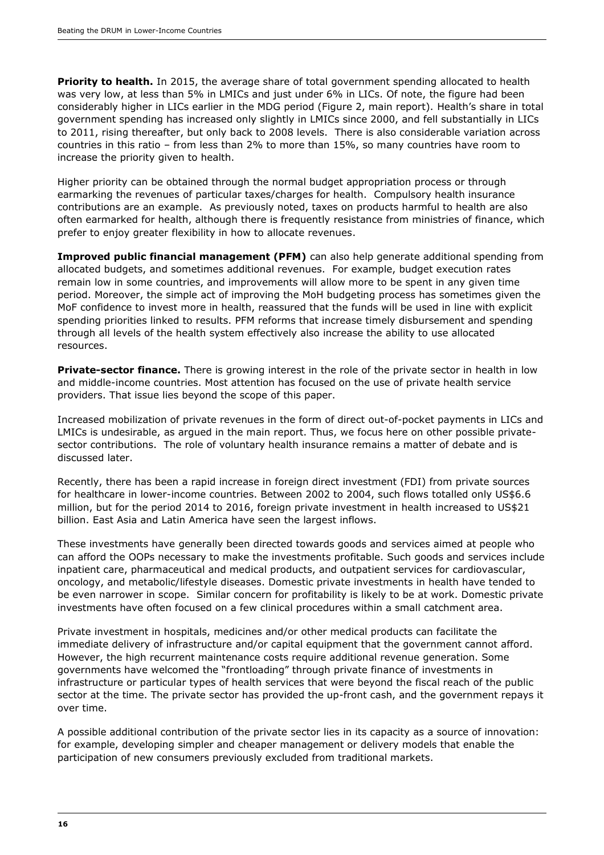**Priority to health.** In 2015, the average share of total government spending allocated to health was very low, at less than 5% in LMICs and just under 6% in LICs. Of note, the figure had been considerably higher in LICs earlier in the MDG period (Figure 2, main report). Health's share in total government spending has increased only slightly in LMICs since 2000, and fell substantially in LICs to 2011, rising thereafter, but only back to 2008 levels. There is also considerable variation across countries in this ratio – from less than 2% to more than 15%, so many countries have room to increase the priority given to health.

Higher priority can be obtained through the normal budget appropriation process or through earmarking the revenues of particular taxes/charges for health. Compulsory health insurance contributions are an example. As previously noted, taxes on products harmful to health are also often earmarked for health, although there is frequently resistance from ministries of finance, which prefer to enjoy greater flexibility in how to allocate revenues.

**Improved public financial management (PFM)** can also help generate additional spending from allocated budgets, and sometimes additional revenues. For example, budget execution rates remain low in some countries, and improvements will allow more to be spent in any given time period. Moreover, the simple act of improving the MoH budgeting process has sometimes given the MoF confidence to invest more in health, reassured that the funds will be used in line with explicit spending priorities linked to results. PFM reforms that increase timely disbursement and spending through all levels of the health system effectively also increase the ability to use allocated resources.

**Private-sector finance.** There is growing interest in the role of the private sector in health in low and middle-income countries. Most attention has focused on the use of private health service providers. That issue lies beyond the scope of this paper.

Increased mobilization of private revenues in the form of direct out-of-pocket payments in LICs and LMICs is undesirable, as argued in the main report. Thus, we focus here on other possible privatesector contributions. The role of voluntary health insurance remains a matter of debate and is discussed later.

Recently, there has been a rapid increase in foreign direct investment (FDI) from private sources for healthcare in lower-income countries. Between 2002 to 2004, such flows totalled only US\$6.6 million, but for the period 2014 to 2016, foreign private investment in health increased to US\$21 billion. East Asia and Latin America have seen the largest inflows.

These investments have generally been directed towards goods and services aimed at people who can afford the OOPs necessary to make the investments profitable. Such goods and services include inpatient care, pharmaceutical and medical products, and outpatient services for cardiovascular, oncology, and metabolic/lifestyle diseases. Domestic private investments in health have tended to be even narrower in scope. Similar concern for profitability is likely to be at work. Domestic private investments have often focused on a few clinical procedures within a small catchment area.

Private investment in hospitals, medicines and/or other medical products can facilitate the immediate delivery of infrastructure and/or capital equipment that the government cannot afford. However, the high recurrent maintenance costs require additional revenue generation. Some governments have welcomed the "frontloading" through private finance of investments in infrastructure or particular types of health services that were beyond the fiscal reach of the public sector at the time. The private sector has provided the up-front cash, and the government repays it over time.

A possible additional contribution of the private sector lies in its capacity as a source of innovation: for example, developing simpler and cheaper management or delivery models that enable the participation of new consumers previously excluded from traditional markets.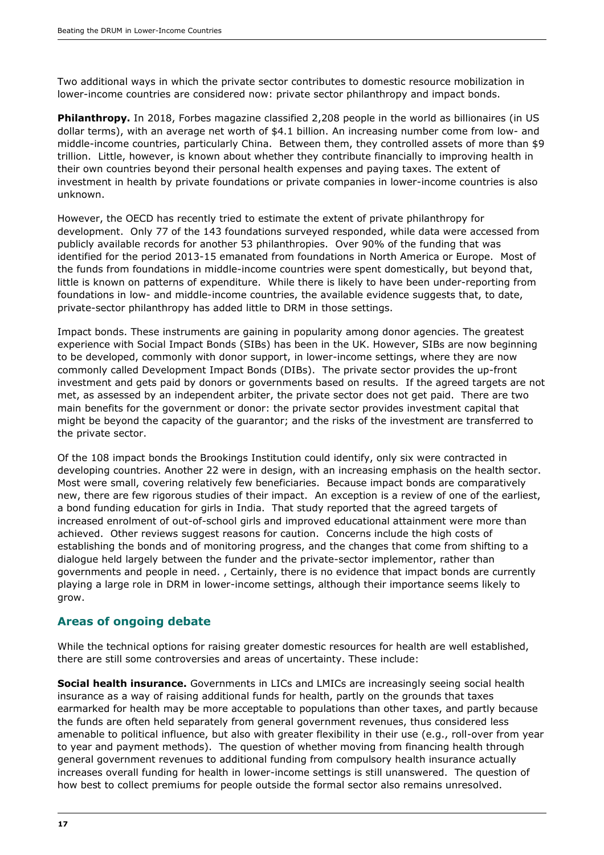Two additional ways in which the private sector contributes to domestic resource mobilization in lower-income countries are considered now: private sector philanthropy and impact bonds.

**Philanthropy.** In 2018, Forbes magazine classified 2,208 people in the world as billionaires (in US dollar terms), with an average net worth of \$4.1 billion. An increasing number come from low- and middle-income countries, particularly China. Between them, they controlled assets of more than \$9 trillion. Little, however, is known about whether they contribute financially to improving health in their own countries beyond their personal health expenses and paying taxes. The extent of investment in health by private foundations or private companies in lower-income countries is also unknown.

However, the OECD has recently tried to estimate the extent of private philanthropy for development. Only 77 of the 143 foundations surveyed responded, while data were accessed from publicly available records for another 53 philanthropies. Over 90% of the funding that was identified for the period 2013-15 emanated from foundations in North America or Europe. Most of the funds from foundations in middle-income countries were spent domestically, but beyond that, little is known on patterns of expenditure. While there is likely to have been under-reporting from foundations in low- and middle-income countries, the available evidence suggests that, to date, private-sector philanthropy has added little to DRM in those settings.

Impact bonds. These instruments are gaining in popularity among donor agencies. The greatest experience with Social Impact Bonds (SIBs) has been in the UK. However, SIBs are now beginning to be developed, commonly with donor support, in lower-income settings, where they are now commonly called Development Impact Bonds (DIBs). The private sector provides the up-front investment and gets paid by donors or governments based on results. If the agreed targets are not met, as assessed by an independent arbiter, the private sector does not get paid. There are two main benefits for the government or donor: the private sector provides investment capital that might be beyond the capacity of the guarantor; and the risks of the investment are transferred to the private sector.

Of the 108 impact bonds the Brookings Institution could identify, only six were contracted in developing countries. Another 22 were in design, with an increasing emphasis on the health sector. Most were small, covering relatively few beneficiaries. Because impact bonds are comparatively new, there are few rigorous studies of their impact. An exception is a review of one of the earliest, a bond funding education for girls in India. That study reported that the agreed targets of increased enrolment of out-of-school girls and improved educational attainment were more than achieved. Other reviews suggest reasons for caution. Concerns include the high costs of establishing the bonds and of monitoring progress, and the changes that come from shifting to a dialogue held largely between the funder and the private-sector implementor, rather than governments and people in need. , Certainly, there is no evidence that impact bonds are currently playing a large role in DRM in lower-income settings, although their importance seems likely to grow.

#### **Areas of ongoing debate**

While the technical options for raising greater domestic resources for health are well established, there are still some controversies and areas of uncertainty. These include:

**Social health insurance.** Governments in LICs and LMICs are increasingly seeing social health insurance as a way of raising additional funds for health, partly on the grounds that taxes earmarked for health may be more acceptable to populations than other taxes, and partly because the funds are often held separately from general government revenues, thus considered less amenable to political influence, but also with greater flexibility in their use (e.g., roll-over from year to year and payment methods). The question of whether moving from financing health through general government revenues to additional funding from compulsory health insurance actually increases overall funding for health in lower-income settings is still unanswered. The question of how best to collect premiums for people outside the formal sector also remains unresolved.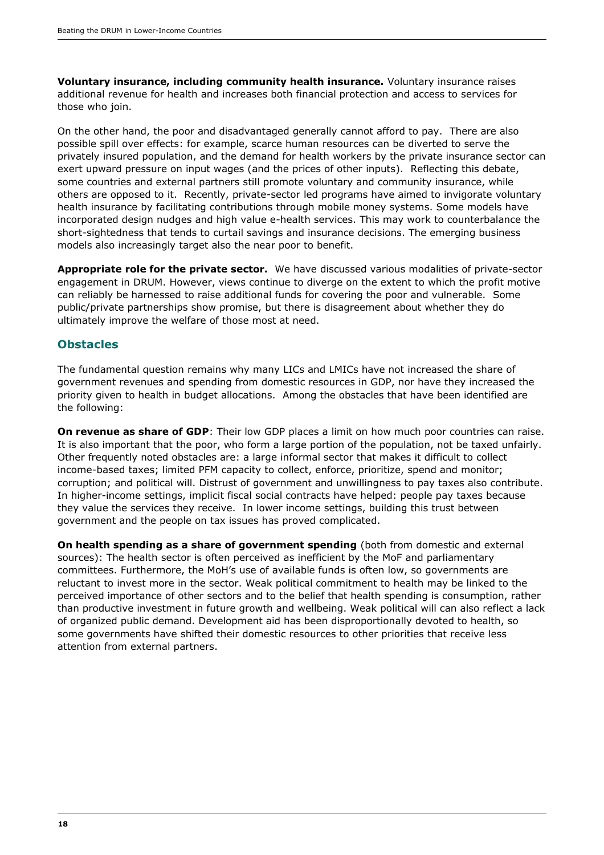**Voluntary insurance, including community health insurance.** Voluntary insurance raises additional revenue for health and increases both financial protection and access to services for those who join.

On the other hand, the poor and disadvantaged generally cannot afford to pay. There are also possible spill over effects: for example, scarce human resources can be diverted to serve the privately insured population, and the demand for health workers by the private insurance sector can exert upward pressure on input wages (and the prices of other inputs). Reflecting this debate, some countries and external partners still promote voluntary and community insurance, while others are opposed to it. Recently, private-sector led programs have aimed to invigorate voluntary health insurance by facilitating contributions through mobile money systems. Some models have incorporated design nudges and high value e-health services. This may work to counterbalance the short-sightedness that tends to curtail savings and insurance decisions. The emerging business models also increasingly target also the near poor to benefit.

**Appropriate role for the private sector.** We have discussed various modalities of private-sector engagement in DRUM. However, views continue to diverge on the extent to which the profit motive can reliably be harnessed to raise additional funds for covering the poor and vulnerable. Some public/private partnerships show promise, but there is disagreement about whether they do ultimately improve the welfare of those most at need.

#### **Obstacles**

The fundamental question remains why many LICs and LMICs have not increased the share of government revenues and spending from domestic resources in GDP, nor have they increased the priority given to health in budget allocations. Among the obstacles that have been identified are the following:

**On revenue as share of GDP**: Their low GDP places a limit on how much poor countries can raise. It is also important that the poor, who form a large portion of the population, not be taxed unfairly. Other frequently noted obstacles are: a large informal sector that makes it difficult to collect income-based taxes; limited PFM capacity to collect, enforce, prioritize, spend and monitor; corruption; and political will. Distrust of government and unwillingness to pay taxes also contribute. In higher-income settings, implicit fiscal social contracts have helped: people pay taxes because they value the services they receive. In lower income settings, building this trust between government and the people on tax issues has proved complicated.

**On health spending as a share of government spending** (both from domestic and external sources): The health sector is often perceived as inefficient by the MoF and parliamentary committees. Furthermore, the MoH's use of available funds is often low, so governments are reluctant to invest more in the sector. Weak political commitment to health may be linked to the perceived importance of other sectors and to the belief that health spending is consumption, rather than productive investment in future growth and wellbeing. Weak political will can also reflect a lack of organized public demand. Development aid has been disproportionally devoted to health, so some governments have shifted their domestic resources to other priorities that receive less attention from external partners.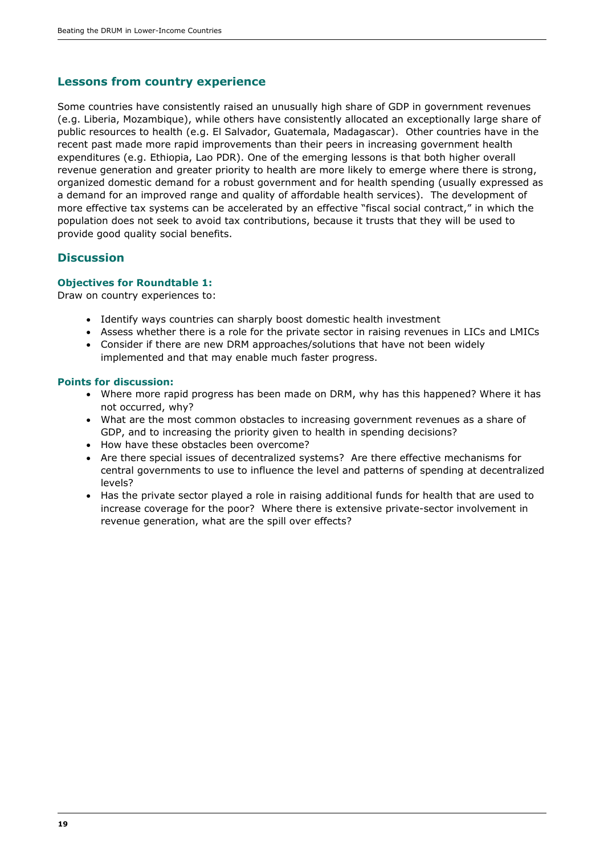#### **Lessons from country experience**

Some countries have consistently raised an unusually high share of GDP in government revenues (e.g. Liberia, Mozambique), while others have consistently allocated an exceptionally large share of public resources to health (e.g. El Salvador, Guatemala, Madagascar). Other countries have in the recent past made more rapid improvements than their peers in increasing government health expenditures (e.g. Ethiopia, Lao PDR). One of the emerging lessons is that both higher overall revenue generation and greater priority to health are more likely to emerge where there is strong, organized domestic demand for a robust government and for health spending (usually expressed as a demand for an improved range and quality of affordable health services). The development of more effective tax systems can be accelerated by an effective "fiscal social contract," in which the population does not seek to avoid tax contributions, because it trusts that they will be used to provide good quality social benefits.

#### **Discussion**

#### **Objectives for Roundtable 1:**

Draw on country experiences to:

- Identify ways countries can sharply boost domestic health investment
- Assess whether there is a role for the private sector in raising revenues in LICs and LMICs
- Consider if there are new DRM approaches/solutions that have not been widely implemented and that may enable much faster progress.

#### **Points for discussion:**

- Where more rapid progress has been made on DRM, why has this happened? Where it has not occurred, why?
- What are the most common obstacles to increasing government revenues as a share of GDP, and to increasing the priority given to health in spending decisions?
- How have these obstacles been overcome?
- Are there special issues of decentralized systems? Are there effective mechanisms for central governments to use to influence the level and patterns of spending at decentralized levels?
- Has the private sector played a role in raising additional funds for health that are used to increase coverage for the poor? Where there is extensive private-sector involvement in revenue generation, what are the spill over effects?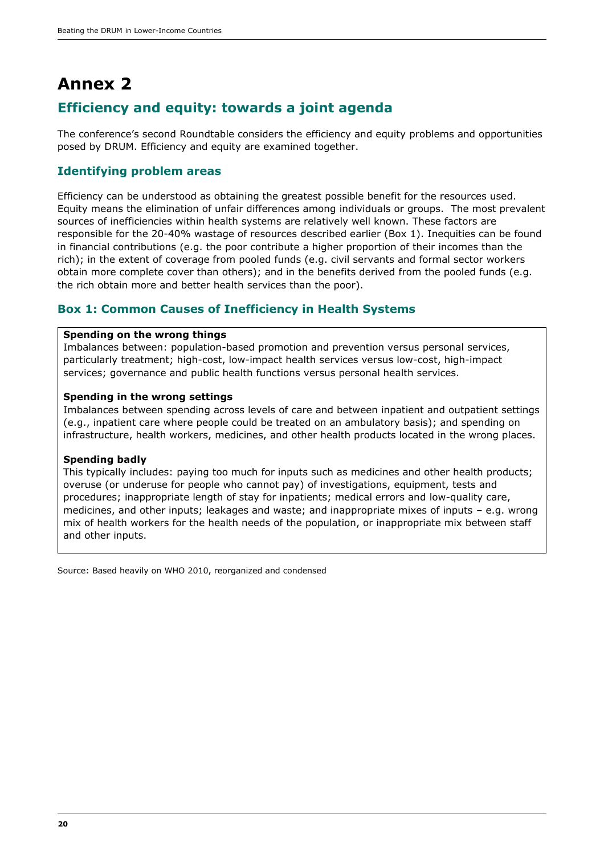# **Annex 2 Efficiency and equity: towards a joint agenda**

The conference's second Roundtable considers the efficiency and equity problems and opportunities posed by DRUM. Efficiency and equity are examined together.

#### **Identifying problem areas**

Efficiency can be understood as obtaining the greatest possible benefit for the resources used. Equity means the elimination of unfair differences among individuals or groups. The most prevalent sources of inefficiencies within health systems are relatively well known. These factors are responsible for the 20-40% wastage of resources described earlier (Box 1). Inequities can be found in financial contributions (e.g. the poor contribute a higher proportion of their incomes than the rich); in the extent of coverage from pooled funds (e.g. civil servants and formal sector workers obtain more complete cover than others); and in the benefits derived from the pooled funds (e.g. the rich obtain more and better health services than the poor).

#### **Box 1: Common Causes of Inefficiency in Health Systems**

#### **Spending on the wrong things**

Imbalances between: population-based promotion and prevention versus personal services, particularly treatment; high-cost, low-impact health services versus low-cost, high-impact services; governance and public health functions versus personal health services.

#### **Spending in the wrong settings**

Imbalances between spending across levels of care and between inpatient and outpatient settings (e.g., inpatient care where people could be treated on an ambulatory basis); and spending on infrastructure, health workers, medicines, and other health products located in the wrong places.

#### **Spending badly**

This typically includes: paying too much for inputs such as medicines and other health products; overuse (or underuse for people who cannot pay) of investigations, equipment, tests and procedures; inappropriate length of stay for inpatients; medical errors and low-quality care, medicines, and other inputs; leakages and waste; and inappropriate mixes of inputs – e.g. wrong mix of health workers for the health needs of the population, or inappropriate mix between staff and other inputs.

Source: Based heavily on WHO 2010, reorganized and condensed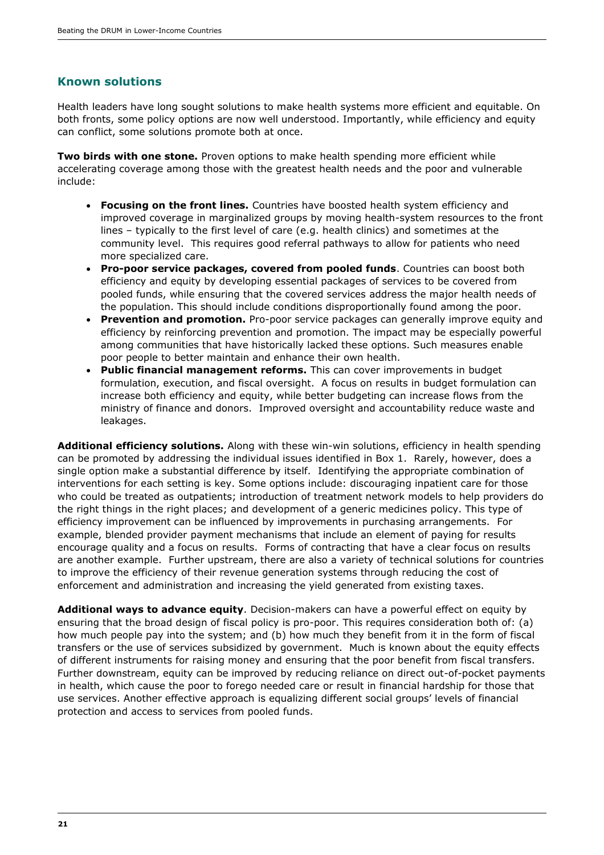#### **Known solutions**

Health leaders have long sought solutions to make health systems more efficient and equitable. On both fronts, some policy options are now well understood. Importantly, while efficiency and equity can conflict, some solutions promote both at once.

**Two birds with one stone.** Proven options to make health spending more efficient while accelerating coverage among those with the greatest health needs and the poor and vulnerable include:

- **Focusing on the front lines.** Countries have boosted health system efficiency and improved coverage in marginalized groups by moving health-system resources to the front lines – typically to the first level of care (e.g. health clinics) and sometimes at the community level. This requires good referral pathways to allow for patients who need more specialized care.
- **Pro-poor service packages, covered from pooled funds**. Countries can boost both efficiency and equity by developing essential packages of services to be covered from pooled funds, while ensuring that the covered services address the major health needs of the population. This should include conditions disproportionally found among the poor.
- **Prevention and promotion.** Pro-poor service packages can generally improve equity and efficiency by reinforcing prevention and promotion. The impact may be especially powerful among communities that have historically lacked these options. Such measures enable poor people to better maintain and enhance their own health.
- **Public financial management reforms.** This can cover improvements in budget formulation, execution, and fiscal oversight. A focus on results in budget formulation can increase both efficiency and equity, while better budgeting can increase flows from the ministry of finance and donors. Improved oversight and accountability reduce waste and leakages.

**Additional efficiency solutions.** Along with these win-win solutions, efficiency in health spending can be promoted by addressing the individual issues identified in Box 1. Rarely, however, does a single option make a substantial difference by itself. Identifying the appropriate combination of interventions for each setting is key. Some options include: discouraging inpatient care for those who could be treated as outpatients; introduction of treatment network models to help providers do the right things in the right places; and development of a generic medicines policy. This type of efficiency improvement can be influenced by improvements in purchasing arrangements. For example, blended provider payment mechanisms that include an element of paying for results encourage quality and a focus on results. Forms of contracting that have a clear focus on results are another example. Further upstream, there are also a variety of technical solutions for countries to improve the efficiency of their revenue generation systems through reducing the cost of enforcement and administration and increasing the yield generated from existing taxes.

**Additional ways to advance equity**. Decision-makers can have a powerful effect on equity by ensuring that the broad design of fiscal policy is pro-poor. This requires consideration both of: (a) how much people pay into the system; and (b) how much they benefit from it in the form of fiscal transfers or the use of services subsidized by government. Much is known about the equity effects of different instruments for raising money and ensuring that the poor benefit from fiscal transfers. Further downstream, equity can be improved by reducing reliance on direct out-of-pocket payments in health, which cause the poor to forego needed care or result in financial hardship for those that use services. Another effective approach is equalizing different social groups' levels of financial protection and access to services from pooled funds.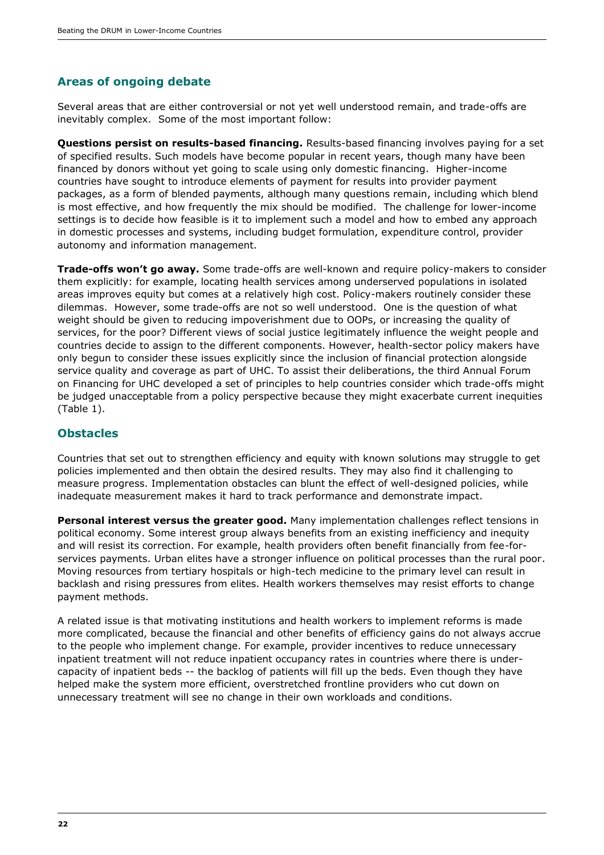### **Areas of ongoing debate**

Several areas that are either controversial or not yet well understood remain, and trade-offs are inevitably complex. Some of the most important follow:

**Questions persist on results-based financing.** Results-based financing involves paying for a set of specified results. Such models have become popular in recent years, though many have been financed by donors without yet going to scale using only domestic financing. Higher-income countries have sought to introduce elements of payment for results into provider payment packages, as a form of blended payments, although many questions remain, including which blend is most effective, and how frequently the mix should be modified. The challenge for lower-income settings is to decide how feasible is it to implement such a model and how to embed any approach in domestic processes and systems, including budget formulation, expenditure control, provider autonomy and information management.

**Trade-offs won't go away.** Some trade-offs are well-known and require policy-makers to consider them explicitly: for example, locating health services among underserved populations in isolated areas improves equity but comes at a relatively high cost. Policy-makers routinely consider these dilemmas. However, some trade-offs are not so well understood. One is the question of what weight should be given to reducing impoverishment due to OOPs, or increasing the quality of services, for the poor? Different views of social justice legitimately influence the weight people and countries decide to assign to the different components. However, health-sector policy makers have only begun to consider these issues explicitly since the inclusion of financial protection alongside service quality and coverage as part of UHC. To assist their deliberations, the third Annual Forum on Financing for UHC developed a set of principles to help countries consider which trade-offs might be judged unacceptable from a policy perspective because they might exacerbate current inequities (Table 1).

#### **Obstacles**

Countries that set out to strengthen efficiency and equity with known solutions may struggle to get policies implemented and then obtain the desired results. They may also find it challenging to measure progress. Implementation obstacles can blunt the effect of well-designed policies, while inadequate measurement makes it hard to track performance and demonstrate impact.

**Personal interest versus the greater good.** Many implementation challenges reflect tensions in political economy. Some interest group always benefits from an existing inefficiency and inequity and will resist its correction. For example, health providers often benefit financially from fee-forservices payments. Urban elites have a stronger influence on political processes than the rural poor. Moving resources from tertiary hospitals or high-tech medicine to the primary level can result in backlash and rising pressures from elites. Health workers themselves may resist efforts to change payment methods.

A related issue is that motivating institutions and health workers to implement reforms is made more complicated, because the financial and other benefits of efficiency gains do not always accrue to the people who implement change. For example, provider incentives to reduce unnecessary inpatient treatment will not reduce inpatient occupancy rates in countries where there is undercapacity of inpatient beds -- the backlog of patients will fill up the beds. Even though they have helped make the system more efficient, overstretched frontline providers who cut down on unnecessary treatment will see no change in their own workloads and conditions.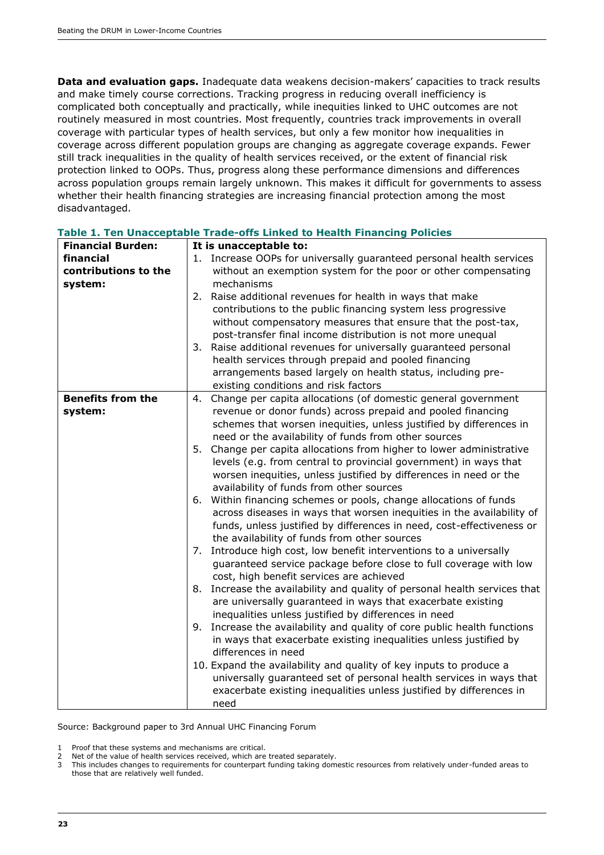**Data and evaluation gaps.** Inadequate data weakens decision-makers' capacities to track results and make timely course corrections. Tracking progress in reducing overall inefficiency is complicated both conceptually and practically, while inequities linked to UHC outcomes are not routinely measured in most countries. Most frequently, countries track improvements in overall coverage with particular types of health services, but only a few monitor how inequalities in coverage across different population groups are changing as aggregate coverage expands. Fewer still track inequalities in the quality of health services received, or the extent of financial risk protection linked to OOPs. Thus, progress along these performance dimensions and differences across population groups remain largely unknown. This makes it difficult for governments to assess whether their health financing strategies are increasing financial protection among the most disadvantaged.

| <b>Financial Burden:</b> | It is unacceptable to:                                                       |
|--------------------------|------------------------------------------------------------------------------|
| financial                | 1. Increase OOPs for universally guaranteed personal health services         |
| contributions to the     | without an exemption system for the poor or other compensating               |
| system:                  | mechanisms                                                                   |
|                          | 2. Raise additional revenues for health in ways that make                    |
|                          | contributions to the public financing system less progressive                |
|                          | without compensatory measures that ensure that the post-tax,                 |
|                          | post-transfer final income distribution is not more unequal                  |
|                          | 3. Raise additional revenues for universally guaranteed personal             |
|                          | health services through prepaid and pooled financing                         |
|                          | arrangements based largely on health status, including pre-                  |
|                          | existing conditions and risk factors                                         |
| <b>Benefits from the</b> | Change per capita allocations (of domestic general government<br>4.          |
| system:                  | revenue or donor funds) across prepaid and pooled financing                  |
|                          | schemes that worsen inequities, unless justified by differences in           |
|                          |                                                                              |
|                          | need or the availability of funds from other sources                         |
|                          | Change per capita allocations from higher to lower administrative<br>5.      |
|                          | levels (e.g. from central to provincial government) in ways that             |
|                          | worsen inequities, unless justified by differences in need or the            |
|                          | availability of funds from other sources                                     |
|                          | Within financing schemes or pools, change allocations of funds<br>6.         |
|                          | across diseases in ways that worsen inequities in the availability of        |
|                          | funds, unless justified by differences in need, cost-effectiveness or        |
|                          | the availability of funds from other sources                                 |
|                          | Introduce high cost, low benefit interventions to a universally<br>7.        |
|                          | guaranteed service package before close to full coverage with low            |
|                          | cost, high benefit services are achieved                                     |
|                          | Increase the availability and quality of personal health services that<br>8. |
|                          | are universally guaranteed in ways that exacerbate existing                  |
|                          | inequalities unless justified by differences in need                         |
|                          | Increase the availability and quality of core public health functions<br>9.  |
|                          | in ways that exacerbate existing inequalities unless justified by            |
|                          | differences in need                                                          |
|                          | 10. Expand the availability and quality of key inputs to produce a           |
|                          | universally guaranteed set of personal health services in ways that          |
|                          | exacerbate existing inequalities unless justified by differences in          |
|                          | need                                                                         |
|                          |                                                                              |

**Table 1. Ten Unacceptable Trade-offs Linked to Health Financing Policies**

Source: Background paper to 3rd Annual UHC Financing Forum

1 Proof that these systems and mechanisms are critical.

3 This includes changes to requirements for counterpart funding taking domestic resources from relatively under-funded areas to those that are relatively well funded.

<sup>2</sup> Net of the value of health services received, which are treated separately.<br>2. This includes changes to requirements for counternart funding taking dom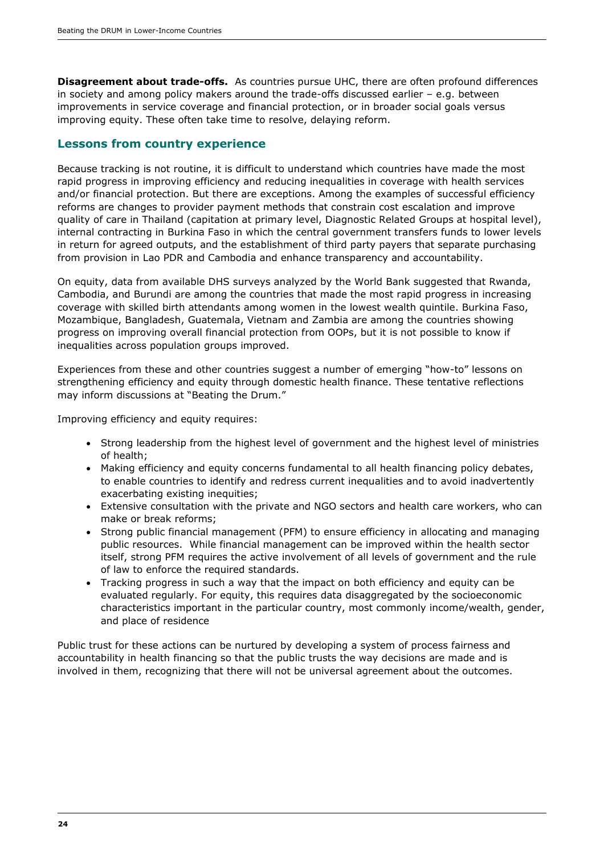**Disagreement about trade-offs.** As countries pursue UHC, there are often profound differences in society and among policy makers around the trade-offs discussed earlier – e.g. between improvements in service coverage and financial protection, or in broader social goals versus improving equity. These often take time to resolve, delaying reform.

#### **Lessons from country experience**

Because tracking is not routine, it is difficult to understand which countries have made the most rapid progress in improving efficiency and reducing inequalities in coverage with health services and/or financial protection. But there are exceptions. Among the examples of successful efficiency reforms are changes to provider payment methods that constrain cost escalation and improve quality of care in Thailand (capitation at primary level, Diagnostic Related Groups at hospital level), internal contracting in Burkina Faso in which the central government transfers funds to lower levels in return for agreed outputs, and the establishment of third party payers that separate purchasing from provision in Lao PDR and Cambodia and enhance transparency and accountability.

On equity, data from available DHS surveys analyzed by the World Bank suggested that Rwanda, Cambodia, and Burundi are among the countries that made the most rapid progress in increasing coverage with skilled birth attendants among women in the lowest wealth quintile. Burkina Faso, Mozambique, Bangladesh, Guatemala, Vietnam and Zambia are among the countries showing progress on improving overall financial protection from OOPs, but it is not possible to know if inequalities across population groups improved.

Experiences from these and other countries suggest a number of emerging "how-to" lessons on strengthening efficiency and equity through domestic health finance. These tentative reflections may inform discussions at "Beating the Drum."

Improving efficiency and equity requires:

- Strong leadership from the highest level of government and the highest level of ministries of health;
- Making efficiency and equity concerns fundamental to all health financing policy debates, to enable countries to identify and redress current inequalities and to avoid inadvertently exacerbating existing inequities;
- Extensive consultation with the private and NGO sectors and health care workers, who can make or break reforms;
- Strong public financial management (PFM) to ensure efficiency in allocating and managing public resources. While financial management can be improved within the health sector itself, strong PFM requires the active involvement of all levels of government and the rule of law to enforce the required standards.
- Tracking progress in such a way that the impact on both efficiency and equity can be evaluated regularly. For equity, this requires data disaggregated by the socioeconomic characteristics important in the particular country, most commonly income/wealth, gender, and place of residence

Public trust for these actions can be nurtured by developing a system of process fairness and accountability in health financing so that the public trusts the way decisions are made and is involved in them, recognizing that there will not be universal agreement about the outcomes.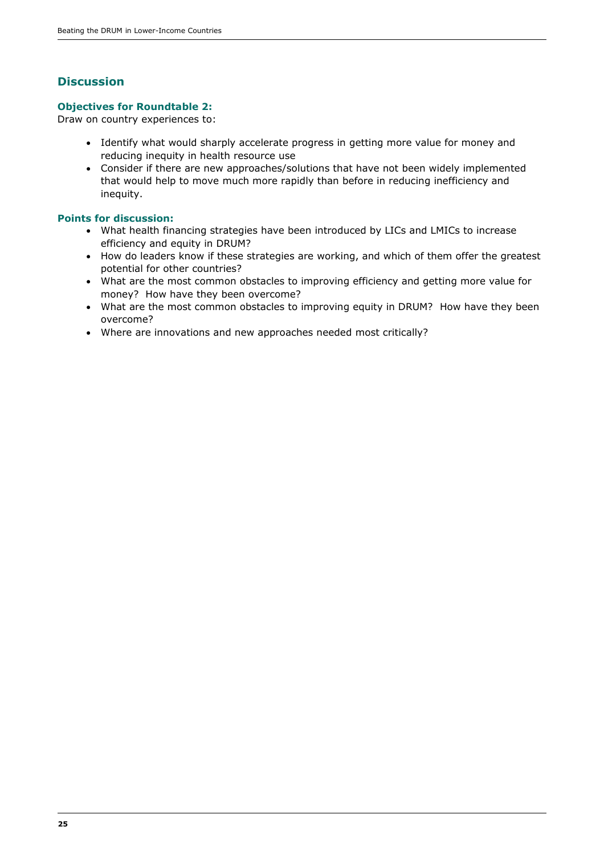### **Discussion**

#### **Objectives for Roundtable 2:**

Draw on country experiences to:

- Identify what would sharply accelerate progress in getting more value for money and reducing inequity in health resource use
- Consider if there are new approaches/solutions that have not been widely implemented that would help to move much more rapidly than before in reducing inefficiency and inequity.

#### **Points for discussion:**

- What health financing strategies have been introduced by LICs and LMICs to increase efficiency and equity in DRUM?
- How do leaders know if these strategies are working, and which of them offer the greatest potential for other countries?
- What are the most common obstacles to improving efficiency and getting more value for money? How have they been overcome?
- What are the most common obstacles to improving equity in DRUM? How have they been overcome?
- Where are innovations and new approaches needed most critically?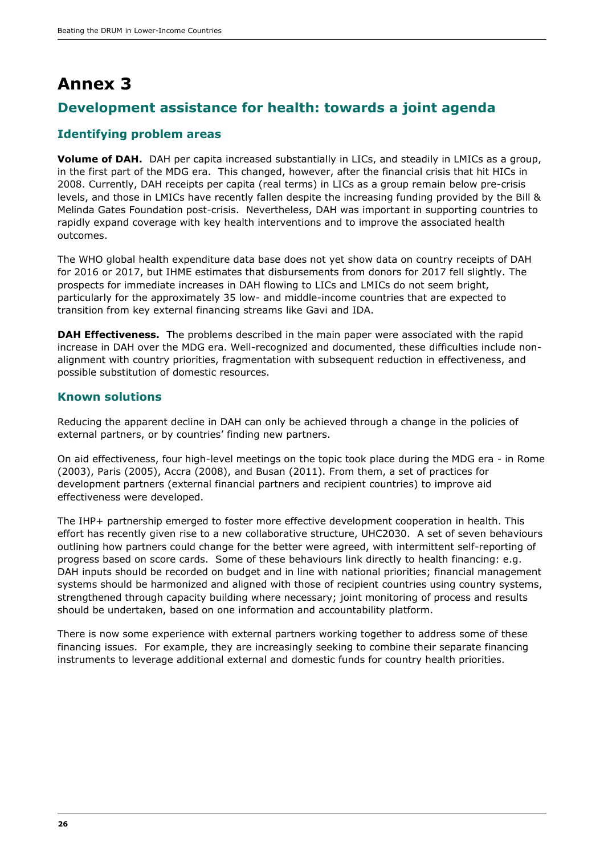# **Annex 3**

### **Development assistance for health: towards a joint agenda**

#### **Identifying problem areas**

**Volume of DAH.** DAH per capita increased substantially in LICs, and steadily in LMICs as a group, in the first part of the MDG era. This changed, however, after the financial crisis that hit HICs in 2008. Currently, DAH receipts per capita (real terms) in LICs as a group remain below pre-crisis levels, and those in LMICs have recently fallen despite the increasing funding provided by the Bill & Melinda Gates Foundation post-crisis. Nevertheless, DAH was important in supporting countries to rapidly expand coverage with key health interventions and to improve the associated health outcomes.

The WHO global health expenditure data base does not yet show data on country receipts of DAH for 2016 or 2017, but IHME estimates that disbursements from donors for 2017 fell slightly. The prospects for immediate increases in DAH flowing to LICs and LMICs do not seem bright, particularly for the approximately 35 low- and middle-income countries that are expected to transition from key external financing streams like Gavi and IDA.

**DAH Effectiveness.** The problems described in the main paper were associated with the rapid increase in DAH over the MDG era. Well-recognized and documented, these difficulties include nonalignment with country priorities, fragmentation with subsequent reduction in effectiveness, and possible substitution of domestic resources.

#### **Known solutions**

Reducing the apparent decline in DAH can only be achieved through a change in the policies of external partners, or by countries' finding new partners.

On aid effectiveness, four high-level meetings on the topic took place during the MDG era - in Rome (2003), Paris (2005), Accra (2008), and Busan (2011). From them, a set of practices for development partners (external financial partners and recipient countries) to improve aid effectiveness were developed.

The IHP+ partnership emerged to foster more effective development cooperation in health. This effort has recently given rise to a new collaborative structure, UHC2030. A set of seven behaviours outlining how partners could change for the better were agreed, with intermittent self-reporting of progress based on score cards. Some of these behaviours link directly to health financing: e.g. DAH inputs should be recorded on budget and in line with national priorities; financial management systems should be harmonized and aligned with those of recipient countries using country systems, strengthened through capacity building where necessary; joint monitoring of process and results should be undertaken, based on one information and accountability platform.

There is now some experience with external partners working together to address some of these financing issues. For example, they are increasingly seeking to combine their separate financing instruments to leverage additional external and domestic funds for country health priorities.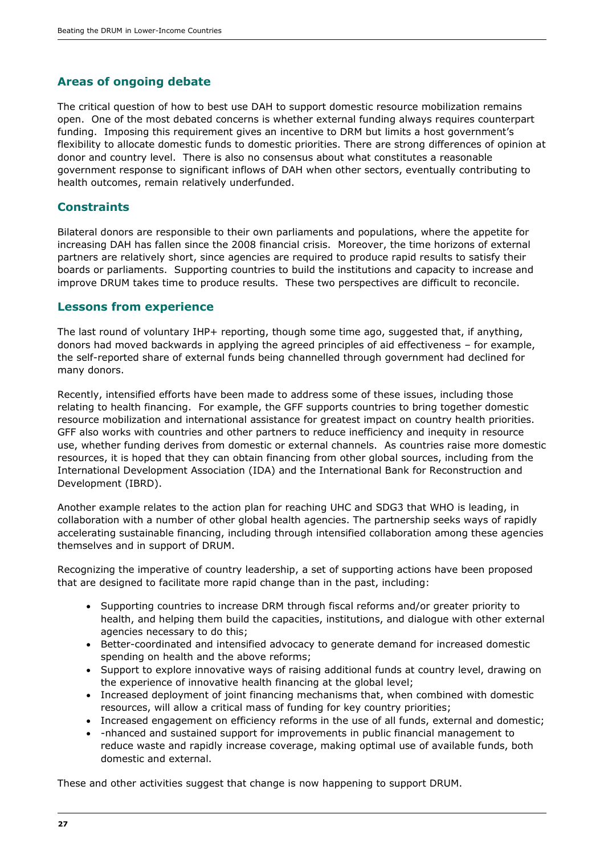### **Areas of ongoing debate**

The critical question of how to best use DAH to support domestic resource mobilization remains open. One of the most debated concerns is whether external funding always requires counterpart funding. Imposing this requirement gives an incentive to DRM but limits a host government's flexibility to allocate domestic funds to domestic priorities. There are strong differences of opinion at donor and country level. There is also no consensus about what constitutes a reasonable government response to significant inflows of DAH when other sectors, eventually contributing to health outcomes, remain relatively underfunded.

#### **Constraints**

Bilateral donors are responsible to their own parliaments and populations, where the appetite for increasing DAH has fallen since the 2008 financial crisis. Moreover, the time horizons of external partners are relatively short, since agencies are required to produce rapid results to satisfy their boards or parliaments. Supporting countries to build the institutions and capacity to increase and improve DRUM takes time to produce results. These two perspectives are difficult to reconcile.

#### **Lessons from experience**

The last round of voluntary IHP+ reporting, though some time ago, suggested that, if anything, donors had moved backwards in applying the agreed principles of aid effectiveness – for example, the self-reported share of external funds being channelled through government had declined for many donors.

Recently, intensified efforts have been made to address some of these issues, including those relating to health financing. For example, the GFF supports countries to bring together domestic resource mobilization and international assistance for greatest impact on country health priorities. GFF also works with countries and other partners to reduce inefficiency and inequity in resource use, whether funding derives from domestic or external channels. As countries raise more domestic resources, it is hoped that they can obtain financing from other global sources, including from the International Development Association (IDA) and the International Bank for Reconstruction and Development (IBRD).

Another example relates to the action plan for reaching UHC and SDG3 that WHO is leading, in collaboration with a number of other global health agencies. The partnership seeks ways of rapidly accelerating sustainable financing, including through intensified collaboration among these agencies themselves and in support of DRUM.

Recognizing the imperative of country leadership, a set of supporting actions have been proposed that are designed to facilitate more rapid change than in the past, including:

- Supporting countries to increase DRM through fiscal reforms and/or greater priority to health, and helping them build the capacities, institutions, and dialogue with other external agencies necessary to do this;
- Better-coordinated and intensified advocacy to generate demand for increased domestic spending on health and the above reforms;
- Support to explore innovative ways of raising additional funds at country level, drawing on the experience of innovative health financing at the global level;
- Increased deployment of joint financing mechanisms that, when combined with domestic resources, will allow a critical mass of funding for key country priorities;
- Increased engagement on efficiency reforms in the use of all funds, external and domestic;
- -nhanced and sustained support for improvements in public financial management to reduce waste and rapidly increase coverage, making optimal use of available funds, both domestic and external.

These and other activities suggest that change is now happening to support DRUM.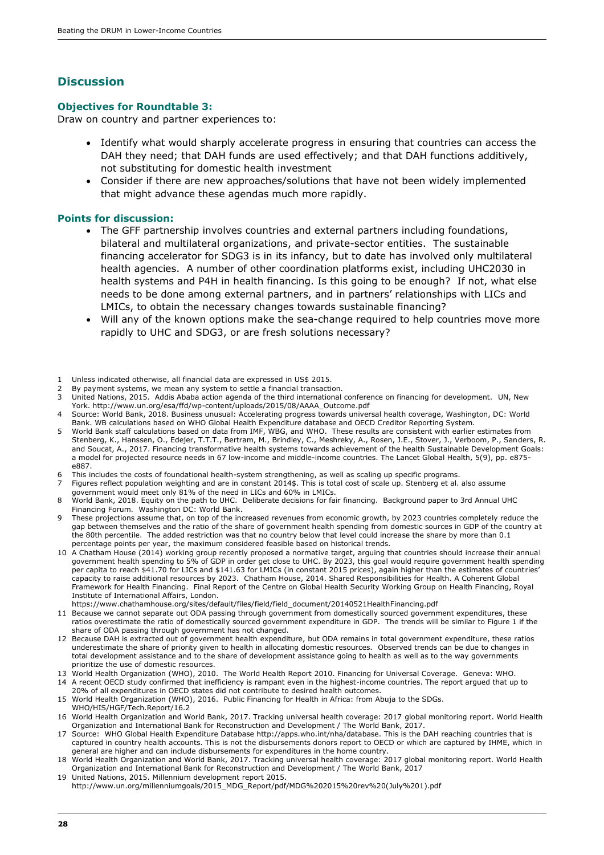#### **Discussion**

#### **Objectives for Roundtable 3:**

Draw on country and partner experiences to:

- Identify what would sharply accelerate progress in ensuring that countries can access the DAH they need; that DAH funds are used effectively; and that DAH functions additively, not substituting for domestic health investment
- Consider if there are new approaches/solutions that have not been widely implemented that might advance these agendas much more rapidly.

#### **Points for discussion:**

- The GFF partnership involves countries and external partners including foundations, bilateral and multilateral organizations, and private-sector entities. The sustainable financing accelerator for SDG3 is in its infancy, but to date has involved only multilateral health agencies. A number of other coordination platforms exist, including UHC2030 in health systems and P4H in health financing. Is this going to be enough? If not, what else needs to be done among external partners, and in partners' relationships with LICs and LMICs, to obtain the necessary changes towards sustainable financing?
- Will any of the known options make the sea-change required to help countries move more rapidly to UHC and SDG3, or are fresh solutions necessary?
- 1 Unless indicated otherwise, all financial data are expressed in US\$ 2015.
- By payment systems, we mean any system to settle a financial transaction.
- 3 United Nations, 2015. Addis Ababa action agenda of the third international conference on financing for development. UN, New York. http://www.un.org/esa/ffd/wp-content/uploads/2015/08/AAAA\_Outcome.pdf
- 4 Source: World Bank, 2018. Business unusual: Accelerating progress towards universal health coverage, Washington, DC: World Bank. WB calculations based on WHO Global Health Expenditure database and OECD Creditor Reporting System.
- 5 World Bank staff calculations based on data from IMF, WBG, and WHO. These results are consistent with earlier estimates from Stenberg, K., Hanssen, O., Edejer, T.T.T., Bertram, M., Brindley, C., Meshreky, A., Rosen, J.E., Stover, J., Verboom, P., Sanders, R. and Soucat, A., 2017. Financing transformative health systems towards achievement of the health Sustainable Development Goals: a model for projected resource needs in 67 low-income and middle-income countries. The Lancet Global Health, 5(9), pp. e875 e887.
- 6 This includes the costs of foundational health-system strengthening, as well as scaling up specific programs.<br>7 Eigunes reflect population weighting and are in constant 2014s. This is total cost of scale up. Stepherg et
- 7 Figures reflect population weighting and are in constant 2014\$. This is total cost of scale up. Stenberg et al. also assume government would meet only 81% of the need in LICs and 60% in LMICs.
- 8 World Bank, 2018. Equity on the path to UHC. Deliberate decisions for fair financing. Background paper to 3rd Annual UHC Financing Forum. Washington DC: World Bank.
- These projections assume that, on top of the increased revenues from economic growth, by 2023 countries completely reduce the gap between themselves and the ratio of the share of government health spending from domestic sources in GDP of the country at the 80th percentile. The added restriction was that no country below that level could increase the share by more than 0.1 percentage points per year, the maximum considered feasible based on historical trends.
- 10 A Chatham House (2014) working group recently proposed a normative target, arguing that countries should increase their annual government health spending to 5% of GDP in order get close to UHC. By 2023, this goal would require government health spending per capita to reach \$41.70 for LICs and \$141.63 for LMICs (in constant 2015 prices), again higher than the estimates of countries' capacity to raise additional resources by 2023. Chatham House, 2014. Shared Responsibilities for Health. A Coherent Global Framework for Health Financing. Final Report of the Centre on Global Health Security Working Group on Health Financing, Royal Institute of International Affairs, London.
- https://www.chathamhouse.org/sites/default/files/field/field\_document/20140521HealthFinancing.pdf
- 11 Because we cannot separate out ODA passing through government from domestically sourced government expenditures, these ratios overestimate the ratio of domestically sourced government expenditure in GDP. The trends will be similar to Figure 1 if the share of ODA passing through government has not changed.
- 12 Because DAH is extracted out of government health expenditure, but ODA remains in total government expenditure, these ratios underestimate the share of priority given to health in allocating domestic resources. Observed trends can be due to changes in total development assistance and to the share of development assistance going to health as well as to the way governments prioritize the use of domestic resources.
- 13 World Health Organization (WHO), 2010. The World Health Report 2010. Financing for Universal Coverage. Geneva: WHO. 14 A recent OECD study confirmed that inefficiency is rampant even in the highest-income countries. The report argued that up to
- 20% of all expenditures in OECD states did not contribute to desired health outcomes.
- 15 World Health Organization (WHO), 2016. Public Financing for Health in Africa: from Abuja to the SDGs. WHO/HIS/HGF/Tech.Report/16.2
- 16 World Health Organization and World Bank, 2017. Tracking universal health coverage: 2017 global monitoring report. World Health Organization and International Bank for Reconstruction and Development / The World Bank, 2017.
- 17 Source: WHO Global Health Expenditure Database http://apps.who.int/nha/database. This is the DAH reaching countries that is captured in country health accounts. This is not the disbursements donors report to OECD or which are captured by IHME, which in general are higher and can include disbursements for expenditures in the home country.
- 18 World Health Organization and World Bank, 2017. Tracking universal health coverage: 2017 global monitoring report. World Health Organization and International Bank for Reconstruction and Development / The World Bank, 2017
- 19 United Nations, 2015. Millennium development report 2015. http://www.un.org/millenniumgoals/2015\_MDG\_Report/pdf/MDG%202015%20rev%20(July%201).pdf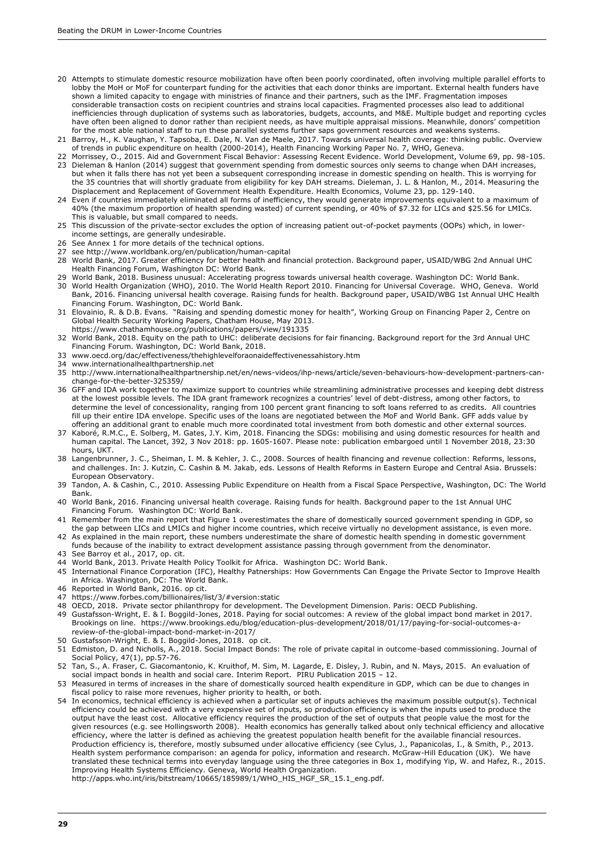- 20 Attempts to stimulate domestic resource mobilization have often been poorly coordinated, often involving multiple parallel efforts to lobby the MoH or MoF for counterpart funding for the activities that each donor thinks are important. External health funders have shown a limited capacity to engage with ministries of finance and their partners, such as the IMF. Fragmentation imposes considerable transaction costs on recipient countries and strains local capacities. Fragmented processes also lead to additional inefficiencies through duplication of systems such as laboratories, budgets, accounts, and M&E. Multiple budget and reporting cycles have often been aligned to donor rather than recipient needs, as have multiple appraisal missions. Meanwhile, donors' competition for the most able national staff to run these parallel systems further saps government resources and weakens systems.
- 21 Barroy, H., K. Vaughan, Y. Tapsoba, E. Dale, N. Van de Maele, 2017. Towards universal health coverage: thinking public. Overview of trends in public expenditure on health (2000-2014), Health Financing Working Paper No. 7, WHO, Geneva.
- 22 Morrissey, O., 2015. Aid and Government Fiscal Behavior: Assessing Recent Evidence. World Development, Volume 69, pp. 98-105. 23 Dieleman & Hanlon (2014) suggest that government spending from domestic sources only seems to change when DAH increases, but when it falls there has not yet been a subsequent corresponding increase in domestic spending on health. This is worrying for the 35 countries that will shortly graduate from eligibility for key DAH streams. Dieleman, J. L. & Hanlon, M., 2014. Measuring the Displacement and Replacement of Government Health Expenditure. Health Economics, Volume 23, pp. 129-140.
- 24 Even if countries immediately eliminated all forms of inefficiency, they would generate improvements equivalent to a maximum of 40% (the maximum proportion of health spending wasted) of current spending, or 40% of \$7.32 for LICs and \$25.56 for LMICs. This is valuable, but small compared to needs.
- 25 This discussion of the private-sector excludes the option of increasing patient out-of-pocket payments (OOPs) which, in lowerincome settings, are generally undesirable.
- 26 See Annex 1 for more details of the technical options.
- 27 see http://www.worldbank.org/en/publication/human-capital
- 28 World Bank, 2017. Greater efficiency for better health and financial protection. Background paper, USAID/WBG 2nd Annual UHC Health Financing Forum, Washington DC: World Bank.
- 29 World Bank, 2018. Business unusual: Accelerating progress towards universal health coverage. Washington DC: World Bank. 30 World Health Organization (WHO), 2010. The World Health Report 2010. Financing for Universal Coverage. WHO, Geneva. World Bank, 2016. Financing universal health coverage. Raising funds for health. Background paper, USAID/WBG 1st Annual UHC Health
- Financing Forum. Washington, DC: World Bank. 31 Elovainio, R. & D.B. Evans. "Raising and spending domestic money for health", Working Group on Financing Paper 2, Centre on
	- Global Health Security Working Papers, Chatham House, May 2013. https://www.chathamhouse.org/publications/papers/view/191335
- 32 World Bank, 2018. Equity on the path to UHC: deliberate decisions for fair financing. Background report for the 3rd Annual UHC Financing Forum. Washington, DC: World Bank, 2018.
- 33 www.oecd.org/dac/effectiveness/thehighlevelforaonaideffectivenessahistory.htm
- 34 www.internationalhealthpartnership.net
- 35 http://www.internationalhealthpartnership.net/en/news-videos/ihp-news/article/seven-behaviours-how-development-partners-canchange-for-the-better-325359/
- 36 GFF and IDA work together to maximize support to countries while streamlining administrative processes and keeping debt distress at the lowest possible levels. The IDA grant framework recognizes a countries' level of debt-distress, among other factors, to determine the level of concessionality, ranging from 100 percent grant financing to soft loans referred to as credits. All countries fill up their entire IDA envelope. Specific uses of the loans are negotiated between the MoF and World Bank. GFF adds value by offering an additional grant to enable much more coordinated total investment from both domestic and other external sources.
- 37 Kaboré, R.M.C., E. Solberg, M. Gates, J.Y. Kim, 2018. Financing the SDGs: mobilising and using domestic resources for health and human capital. The Lancet, 392, 3 Nov 2018: pp. 1605-1607. Please note: publication embargoed until 1 November 2018, 23:30 hours, UKT.
- 38 Langenbrunner, J. C., Sheiman, I. M. & Kehler, J. C., 2008. Sources of health financing and revenue collection: Reforms, lessons, and challenges. In: J. Kutzin, C. Cashin & M. Jakab, eds. Lessons of Health Reforms in Eastern Europe and Central Asia. Brussels: European Observatory.
- 39 Tandon, A. & Cashin, C., 2010. Assessing Public Expenditure on Health from a Fiscal Space Perspective, Washington, DC: The World Bank.
- 40 World Bank, 2016. Financing universal health coverage. Raising funds for health. Background paper to the 1st Annual UHC Financing Forum. Washington DC: World Bank.
- 41 Remember from the main report that Figure 1 overestimates the share of domestically sourced government spending in GDP, so the gap between LICs and LMICs and higher income countries, which receive virtually no development assistance, is even more.
- 42 As explained in the main report, these numbers underestimate the share of domestic health spending in domestic government funds because of the inability to extract development assistance passing through government from the denominator.
- 43 See Barroy et al., 2017, op. cit.
- 44 World Bank, 2013. Private Health Policy Toolkit for Africa. Washington DC: World Bank.
- 45 International Finance Corporation (IFC), Healthy Patnerships: How Governments Can Engage the Private Sector to Improve Health in Africa. Washington, DC: The World Bank.
- 46 Reported in World Bank, 2016. op cit.
- 47 https://www.forbes.com/billionaires/list/3/#version:static
- 48 OECD, 2018. Private sector philanthropy for development. The Development Dimension. Paris: OECD Publishing.
- 49 Gustafsson-Wright, E. & I. Boggild-Jones, 2018. Paying for social outcomes: A review of the global impact bond market in 2017. Brookings on line. https://www.brookings.edu/blog/education-plus-development/2018/01/17/paying-for-social-outcomes-areview-of-the-global-impact-bond-market-in-2017/
- 50 Gustafsson-Wright, E. & I. Boggild-Jones, 2018. op cit.
- 51 Edmiston, D. and Nicholls, A., 2018. Social Impact Bonds: The role of private capital in outcome-based commissioning. Journal of Social Policy, 47(1), pp.57-76.
- 52 Tan, S., A. Fraser, C. Giacomantonio, K. Kruithof, M. Sim, M. Lagarde, E. Disley, J. Rubin, and N. Mays, 2015. An evaluation of social impact bonds in health and social care. Interim Report. PIRU Publication 2015 – 12.
- 53 Measured in terms of increases in the share of domestically sourced health expenditure in GDP, which can be due to changes in fiscal policy to raise more revenues, higher priority to health, or both.
- 54 In economics, technical efficiency is achieved when a particular set of inputs achieves the maximum possible output(s). Technical efficiency could be achieved with a very expensive set of inputs, so production efficiency is when the inputs used to produce the output have the least cost. Allocative efficiency requires the production of the set of outputs that people value the most for the given resources (e.g. see Hollingsworth 2008). Health economics has generally talked about only technical efficiency and allocative efficiency, where the latter is defined as achieving the greatest population health benefit for the available financial resources. Production efficiency is, therefore, mostly subsumed under allocative efficiency (see Cylus, J., Papanicolas, I., & Smith, P., 2013. Health system performance comparison: an agenda for policy, information and research. McGraw-Hill Education (UK). We have translated these technical terms into everyday language using the three categories in Box 1, modifying Yip, W. and Hafez, R., 2015. Improving Health Systems Efficiency. Geneva, World Health Organization.